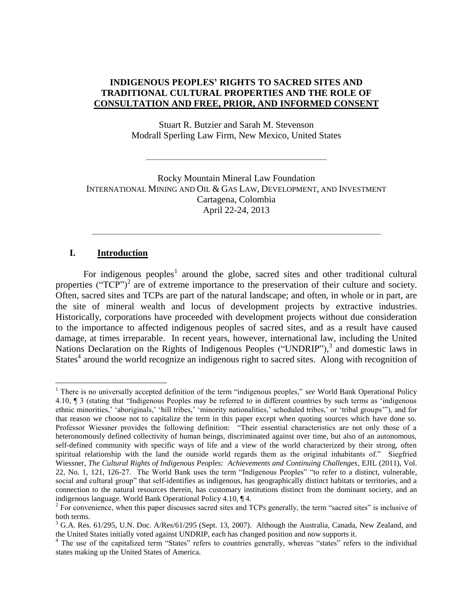## **INDIGENOUS PEOPLES' RIGHTS TO SACRED SITES AND TRADITIONAL CULTURAL PROPERTIES AND THE ROLE OF CONSULTATION AND FREE, PRIOR, AND INFORMED CONSENT**

Stuart R. Butzier and Sarah M. Stevenson Modrall Sperling Law Firm, New Mexico, United States

Rocky Mountain Mineral Law Foundation INTERNATIONAL MINING AND OIL & GAS LAW, DEVELOPMENT, AND INVESTMENT Cartagena, Colombia April 22-24, 2013

### **I. Introduction**

 $\overline{a}$ 

For indigenous peoples<sup>1</sup> around the globe, sacred sites and other traditional cultural properties (" $TCP$ ")<sup>2</sup> are of extreme importance to the preservation of their culture and society. Often, sacred sites and TCPs are part of the natural landscape; and often, in whole or in part, are the site of mineral wealth and locus of development projects by extractive industries. Historically, corporations have proceeded with development projects without due consideration to the importance to affected indigenous peoples of sacred sites, and as a result have caused damage, at times irreparable. In recent years, however, international law, including the United Nations Declaration on the Rights of Indigenous Peoples ("UNDRIP"),<sup>3</sup> and domestic laws in States<sup>4</sup> around the world recognize an indigenous right to sacred sites. Along with recognition of

<sup>&</sup>lt;sup>1</sup> There is no universally accepted definition of the term "indigenous peoples," see World Bank Operational Policy 4.10, ¶ 3 (stating that "Indigenous Peoples may be referred to in different countries by such terms as 'indigenous ethnic minorities,' 'aboriginals,' 'hill tribes,' 'minority nationalities,' scheduled tribes,' or 'tribal groups'"), and for that reason we choose not to capitalize the term in this paper except when quoting sources which have done so. Professor Wiessner provides the following definition: "Their essential characteristics are not only those of a heteronomously defined collectivity of human beings, discriminated against over time, but also of an autonomous, self-defined community with specific ways of life and a view of the world characterized by their strong, often spiritual relationship with the land the outside world regards them as the original inhabitants of." Siegfried Wiessner, *The Cultural Rights of Indigenous Peoples: Achievements and Continuing Challenges*, EJIL (2011), Vol. 22, No. 1, 121, 126-27. The World Bank uses the term "Indigenous Peoples" "to refer to a distinct, vulnerable, social and cultural group" that self-identifies as indigenous, has geographically distinct habitats or territories, and a connection to the natural resources therein, has customary institutions distinct from the dominant society, and an indigenous language. World Bank Operational Policy 4.10, ¶ 4.

 $2^{2}$  For convenience, when this paper discusses sacred sites and TCPs generally, the term "sacred sites" is inclusive of both terms.

 $3$  G.A. Res. 61/295, U.N. Doc. A/Res/61/295 (Sept. 13, 2007). Although the Australia, Canada, New Zealand, and the United States initially voted against UNDRIP, each has changed position and now supports it.

<sup>&</sup>lt;sup>4</sup> The use of the capitalized term "States" refers to countries generally, whereas "states" refers to the individual states making up the United States of America.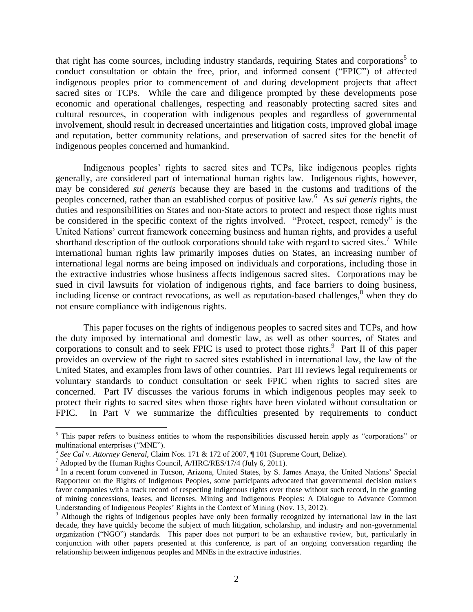that right has come sources, including industry standards, requiring States and corporations<sup>5</sup> to conduct consultation or obtain the free, prior, and informed consent ("FPIC") of affected indigenous peoples prior to commencement of and during development projects that affect sacred sites or TCPs. While the care and diligence prompted by these developments pose economic and operational challenges, respecting and reasonably protecting sacred sites and cultural resources, in cooperation with indigenous peoples and regardless of governmental involvement, should result in decreased uncertainties and litigation costs, improved global image and reputation, better community relations, and preservation of sacred sites for the benefit of indigenous peoples concerned and humankind.

Indigenous peoples' rights to sacred sites and TCPs, like indigenous peoples rights generally, are considered part of international human rights law. Indigenous rights, however, may be considered *sui generis* because they are based in the customs and traditions of the peoples concerned, rather than an established corpus of positive law.<sup>6</sup> As *sui generis* rights, the duties and responsibilities on States and non-State actors to protect and respect those rights must be considered in the specific context of the rights involved. "Protect, respect, remedy" is the United Nations' current framework concerning business and human rights, and provides a useful shorthand description of the outlook corporations should take with regard to sacred sites.<sup>7</sup> While international human rights law primarily imposes duties on States, an increasing number of international legal norms are being imposed on individuals and corporations, including those in the extractive industries whose business affects indigenous sacred sites. Corporations may be sued in civil lawsuits for violation of indigenous rights, and face barriers to doing business, including license or contract revocations, as well as reputation-based challenges, $\delta$  when they do not ensure compliance with indigenous rights.

This paper focuses on the rights of indigenous peoples to sacred sites and TCPs, and how the duty imposed by international and domestic law, as well as other sources, of States and corporations to consult and to seek FPIC is used to protect those rights. $9$  Part II of this paper provides an overview of the right to sacred sites established in international law, the law of the United States, and examples from laws of other countries. Part III reviews legal requirements or voluntary standards to conduct consultation or seek FPIC when rights to sacred sites are concerned. Part IV discusses the various forums in which indigenous peoples may seek to protect their rights to sacred sites when those rights have been violated without consultation or FPIC. In Part V we summarize the difficulties presented by requirements to conduct

<sup>&</sup>lt;sup>5</sup> This paper refers to business entities to whom the responsibilities discussed herein apply as "corporations" or multinational enterprises ("MNE").

<sup>6</sup> *See Cal v. Attorney General*, Claim Nos. 171 & 172 of 2007, ¶ 101 (Supreme Court, Belize).

<sup>7</sup> Adopted by the Human Rights Council, A/HRC/RES/17/4 (July 6, 2011).

<sup>&</sup>lt;sup>8</sup> In a recent forum convened in Tucson, Arizona, United States, by S. James Anaya, the United Nations' Special Rapporteur on the Rights of Indigenous Peoples, some participants advocated that governmental decision makers favor companies with a track record of respecting indigenous rights over those without such record, in the granting of mining concessions, leases, and licenses. Mining and Indigenous Peoples: A Dialogue to Advance Common Understanding of Indigenous Peoples' Rights in the Context of Mining (Nov. 13, 2012).

<sup>&</sup>lt;sup>9</sup> Although the rights of indigenous peoples have only been formally recognized by international law in the last decade, they have quickly become the subject of much litigation, scholarship, and industry and non-governmental organization ("NGO") standards. This paper does not purport to be an exhaustive review, but, particularly in conjunction with other papers presented at this conference, is part of an ongoing conversation regarding the relationship between indigenous peoples and MNEs in the extractive industries.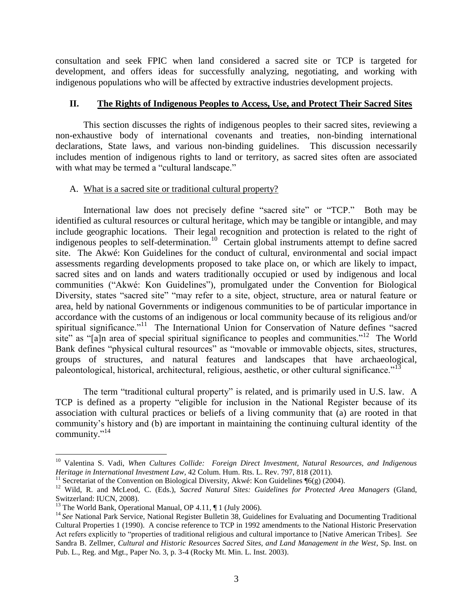consultation and seek FPIC when land considered a sacred site or TCP is targeted for development, and offers ideas for successfully analyzing, negotiating, and working with indigenous populations who will be affected by extractive industries development projects.

## **II. The Rights of Indigenous Peoples to Access, Use, and Protect Their Sacred Sites**

This section discusses the rights of indigenous peoples to their sacred sites, reviewing a non-exhaustive body of international covenants and treaties, non-binding international declarations, State laws, and various non-binding guidelines. This discussion necessarily includes mention of indigenous rights to land or territory, as sacred sites often are associated with what may be termed a "cultural landscape."

# A. What is a sacred site or traditional cultural property?

International law does not precisely define "sacred site" or "TCP." Both may be identified as cultural resources or cultural heritage, which may be tangible or intangible, and may include geographic locations. Their legal recognition and protection is related to the right of indigenous peoples to self-determination.<sup>10</sup> Certain global instruments attempt to define sacred site. The Akwé: Kon Guidelines for the conduct of cultural, environmental and social impact assessments regarding developments proposed to take place on, or which are likely to impact, sacred sites and on lands and waters traditionally occupied or used by indigenous and local communities ("Akwé: Kon Guidelines"), promulgated under the Convention for Biological Diversity, states "sacred site" "may refer to a site, object, structure, area or natural feature or area, held by national Governments or indigenous communities to be of particular importance in accordance with the customs of an indigenous or local community because of its religious and/or spiritual significance."<sup>11</sup> The International Union for Conservation of Nature defines "sacred site" as "[a]n area of special spiritual significance to peoples and communities."<sup>12</sup> The World Bank defines "physical cultural resources" as "movable or immovable objects, sites, structures, groups of structures, and natural features and landscapes that have archaeological, paleontological, historical, architectural, religious, aesthetic, or other cultural significance."<sup>13</sup>

The term "traditional cultural property" is related, and is primarily used in U.S. law. A TCP is defined as a property "eligible for inclusion in the National Register because of its association with cultural practices or beliefs of a living community that (a) are rooted in that community's history and (b) are important in maintaining the continuing cultural identity of the community." 14

 $\overline{a}$ <sup>10</sup> Valentina S. Vadi, *When Cultures Collide: Foreign Direct Investment, Natural Resources, and Indigenous Heritage in International Investment Law*, 42 Colum. Hum. Rts. L. Rev. 797, 818 (2011).

<sup>&</sup>lt;sup>11</sup> Secretariat of the Convention on Biological Diversity, Akwé: Kon Guidelines  $\sqrt[6]{(g)}$  (2004).

<sup>12</sup> Wild, R. and McLeod, C. (Eds.), *Sacred Natural Sites: Guidelines for Protected Area Managers* (Gland, Switzerland: IUCN, 2008).

<sup>&</sup>lt;sup>13</sup> The World Bank, Operational Manual, OP  $4.11$ ,  $\P$  1 (July 2006).

<sup>&</sup>lt;sup>14</sup> See National Park Service, National Register Bulletin 38, Guidelines for Evaluating and Documenting Traditional Cultural Properties 1 (1990). A concise reference to TCP in 1992 amendments to the National Historic Preservation Act refers explicitly to "properties of traditional religious and cultural importance to [Native American Tribes]. *See* Sandra B. Zellmer, *Cultural and Historic Resources Sacred Sites, and Land Management in the West*, Sp. Inst. on Pub. L., Reg. and Mgt., Paper No. 3, p. 3-4 (Rocky Mt. Min. L. Inst. 2003).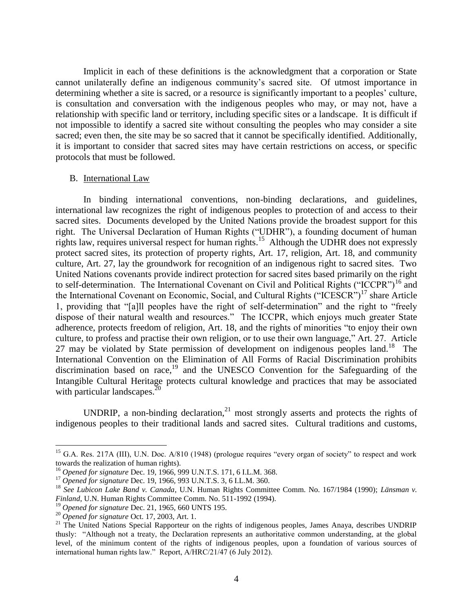Implicit in each of these definitions is the acknowledgment that a corporation or State cannot unilaterally define an indigenous community's sacred site. Of utmost importance in determining whether a site is sacred, or a resource is significantly important to a peoples' culture, is consultation and conversation with the indigenous peoples who may, or may not, have a relationship with specific land or territory, including specific sites or a landscape. It is difficult if not impossible to identify a sacred site without consulting the peoples who may consider a site sacred; even then, the site may be so sacred that it cannot be specifically identified. Additionally, it is important to consider that sacred sites may have certain restrictions on access, or specific protocols that must be followed.

### B. International Law

In binding international conventions, non-binding declarations, and guidelines, international law recognizes the right of indigenous peoples to protection of and access to their sacred sites. Documents developed by the United Nations provide the broadest support for this right. The Universal Declaration of Human Rights ("UDHR"), a founding document of human rights law, requires universal respect for human rights.<sup>15</sup> Although the UDHR does not expressly protect sacred sites, its protection of property rights, Art. 17, religion, Art. 18, and community culture, Art. 27, lay the groundwork for recognition of an indigenous right to sacred sites. Two United Nations covenants provide indirect protection for sacred sites based primarily on the right to self-determination. The International Covenant on Civil and Political Rights ("ICCPR")<sup>16</sup> and the International Covenant on Economic, Social, and Cultural Rights ("ICESCR")<sup>17</sup> share Article 1, providing that "[a]ll peoples have the right of self-determination" and the right to "freely dispose of their natural wealth and resources." The ICCPR, which enjoys much greater State adherence, protects freedom of religion, Art. 18, and the rights of minorities "to enjoy their own culture, to profess and practise their own religion, or to use their own language," Art. 27. Article 27 may be violated by State permission of development on indigenous peoples land.<sup>18</sup> The International Convention on the Elimination of All Forms of Racial Discrimination prohibits discrimination based on race, $19$  and the UNESCO Convention for the Safeguarding of the Intangible Cultural Heritage protects cultural knowledge and practices that may be associated with particular landscapes.<sup>20</sup>

UNDRIP, a non-binding declaration, $^{21}$  most strongly asserts and protects the rights of indigenous peoples to their traditional lands and sacred sites. Cultural traditions and customs,

<sup>&</sup>lt;sup>15</sup> G.A. Res. 217A (III), U.N. Doc. A/810 (1948) (prologue requires "every organ of society" to respect and work towards the realization of human rights).

<sup>16</sup> *Opened for signature* Dec. 19, 1966, 999 U.N.T.S. 171, 6 I.L.M. 368.

<sup>17</sup> *Opened for signature* Dec. 19, 1966, 993 U.N.T.S. 3, 6 I.L.M. 360.

<sup>18</sup> *See Lubicon Lake Band v. Canada*, U.N. Human Rights Committee Comm. No. 167/1984 (1990); *Länsman v. Finland*, U.N. Human Rights Committee Comm. No. 511-1992 (1994).

<sup>19</sup> *Opened for signature* Dec. 21, 1965, 660 UNTS 195.

<sup>20</sup> *Opened for signature* Oct. 17, 2003, Art. 1.

<sup>&</sup>lt;sup>21</sup> The United Nations Special Rapporteur on the rights of indigenous peoples, James Anaya, describes UNDRIP thusly: "Although not a treaty, the Declaration represents an authoritative common understanding, at the global level, of the minimum content of the rights of indigenous peoples, upon a foundation of various sources of international human rights law." Report, A/HRC/21/47 (6 July 2012).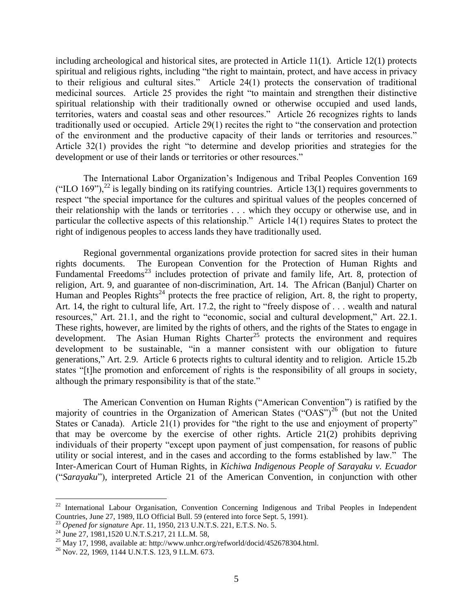including archeological and historical sites, are protected in Article 11(1). Article 12(1) protects spiritual and religious rights, including "the right to maintain, protect, and have access in privacy to their religious and cultural sites." Article 24(1) protects the conservation of traditional medicinal sources. Article 25 provides the right "to maintain and strengthen their distinctive spiritual relationship with their traditionally owned or otherwise occupied and used lands, territories, waters and coastal seas and other resources." Article 26 recognizes rights to lands traditionally used or occupied. Article 29(1) recites the right to "the conservation and protection of the environment and the productive capacity of their lands or territories and resources." Article 32(1) provides the right "to determine and develop priorities and strategies for the development or use of their lands or territories or other resources."

The International Labor Organization's Indigenous and Tribal Peoples Convention 169 ("ILO 169"),<sup>22</sup> is legally binding on its ratifying countries. Article 13(1) requires governments to respect "the special importance for the cultures and spiritual values of the peoples concerned of their relationship with the lands or territories . . . which they occupy or otherwise use, and in particular the collective aspects of this relationship." Article 14(1) requires States to protect the right of indigenous peoples to access lands they have traditionally used.

Regional governmental organizations provide protection for sacred sites in their human rights documents. The European Convention for the Protection of Human Rights and Fundamental Freedoms<sup>23</sup> includes protection of private and family life, Art. 8, protection of religion, Art. 9, and guarantee of non-discrimination, Art. 14. The African (Banjul) Charter on Human and Peoples Rights<sup>24</sup> protects the free practice of religion, Art. 8, the right to property, Art. 14, the right to cultural life, Art. 17.2, the right to "freely dispose of . . . wealth and natural resources," Art. 21.1, and the right to "economic, social and cultural development," Art. 22.1. These rights, however, are limited by the rights of others, and the rights of the States to engage in development. The Asian Human Rights Charter<sup>25</sup> protects the environment and requires development to be sustainable, "in a manner consistent with our obligation to future generations," Art. 2.9. Article 6 protects rights to cultural identity and to religion. Article 15.2b states "[t]he promotion and enforcement of rights is the responsibility of all groups in society, although the primary responsibility is that of the state."

The American Convention on Human Rights ("American Convention") is ratified by the majority of countries in the Organization of American States ("OAS")<sup>26</sup> (but not the United States or Canada). Article 21(1) provides for "the right to the use and enjoyment of property" that may be overcome by the exercise of other rights. Article 21(2) prohibits depriving individuals of their property "except upon payment of just compensation, for reasons of public utility or social interest, and in the cases and according to the forms established by law." The Inter-American Court of Human Rights, in *Kichiwa Indigenous People of Sarayaku v. Ecuador* ("*Sarayaku*"), interpreted Article 21 of the American Convention, in conjunction with other

 $22$  International Labour Organisation, Convention Concerning Indigenous and Tribal Peoples in Independent Countries, June 27, 1989, ILO Official Bull. 59 (entered into force Sept. 5, 1991).

<sup>23</sup> *Opened for signature* Apr. 11, 1950, 213 U.N.T.S. 221, E.T.S. No. 5.

<sup>&</sup>lt;sup>24</sup> June 27, 1981, 1520 U.N.T.S.217, 21 I.L.M. 58,

<sup>&</sup>lt;sup>25</sup> May 17, 1998, available at: http://www.unhcr.org/refworld/docid/452678304.html.

<sup>26</sup> Nov. 22, 1969, 1144 U.N.T.S. 123, 9 I.L.M. 673.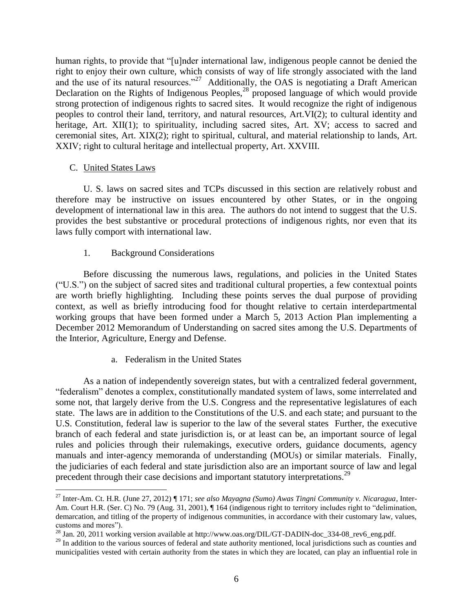human rights, to provide that "[u]nder international law, indigenous people cannot be denied the right to enjoy their own culture, which consists of way of life strongly associated with the land and the use of its natural resources."<sup>27</sup> Additionally, the OAS is negotiating a Draft American Declaration on the Rights of Indigenous Peoples,<sup>28</sup> proposed language of which would provide strong protection of indigenous rights to sacred sites. It would recognize the right of indigenous peoples to control their land, territory, and natural resources, Art.VI(2); to cultural identity and heritage, Art. XII(1); to spirituality, including sacred sites, Art. XV; access to sacred and ceremonial sites, Art. XIX(2); right to spiritual, cultural, and material relationship to lands, Art. XXIV; right to cultural heritage and intellectual property, Art. XXVIII.

## C. United States Laws

 $\overline{a}$ 

U. S. laws on sacred sites and TCPs discussed in this section are relatively robust and therefore may be instructive on issues encountered by other States, or in the ongoing development of international law in this area. The authors do not intend to suggest that the U.S. provides the best substantive or procedural protections of indigenous rights, nor even that its laws fully comport with international law.

# 1. Background Considerations

Before discussing the numerous laws, regulations, and policies in the United States ("U.S.") on the subject of sacred sites and traditional cultural properties, a few contextual points are worth briefly highlighting. Including these points serves the dual purpose of providing context, as well as briefly introducing food for thought relative to certain interdepartmental working groups that have been formed under a March 5, 2013 Action Plan implementing a December 2012 Memorandum of Understanding on sacred sites among the U.S. Departments of the Interior, Agriculture, Energy and Defense.

# a. Federalism in the United States

As a nation of independently sovereign states, but with a centralized federal government, "federalism" denotes a complex, constitutionally mandated system of laws, some interrelated and some not, that largely derive from the U.S. Congress and the representative legislatures of each state. The laws are in addition to the Constitutions of the U.S. and each state; and pursuant to the U.S. Constitution, federal law is superior to the law of the several states Further, the executive branch of each federal and state jurisdiction is, or at least can be, an important source of legal rules and policies through their rulemakings, executive orders, guidance documents, agency manuals and inter-agency memoranda of understanding (MOUs) or similar materials. Finally, the judiciaries of each federal and state jurisdiction also are an important source of law and legal precedent through their case decisions and important statutory interpretations.<sup>29</sup>

<sup>27</sup> Inter-Am. Ct. H.R. (June 27, 2012) ¶ 171; *see also Mayagna (Sumo) Awas Tingni Community v. Nicaragua*, Inter-Am. Court H.R. (Ser. C) No. 79 (Aug. 31, 2001),  $\P$  164 (indigenous right to territory includes right to "delimination, demarcation, and titling of the property of indigenous communities, in accordance with their customary law, values, customs and mores").

<sup>&</sup>lt;sup>28</sup> Jan. 20, 2011 working version available at http://www.oas.org/DIL/GT-DADIN-doc\_334-08\_rev6\_eng.pdf.

<sup>&</sup>lt;sup>29</sup> In addition to the various sources of federal and state authority mentioned, local jurisdictions such as counties and municipalities vested with certain authority from the states in which they are located, can play an influential role in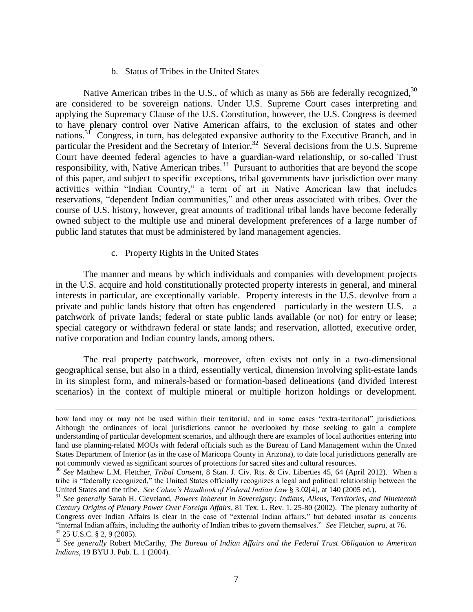#### b. Status of Tribes in the United States

Native American tribes in the U.S., of which as many as 566 are federally recognized,  $30$ are considered to be sovereign nations. Under U.S. Supreme Court cases interpreting and applying the Supremacy Clause of the U.S. Constitution, however, the U.S. Congress is deemed to have plenary control over Native American affairs, to the exclusion of states and other nations.<sup>31</sup> Congress, in turn, has delegated expansive authority to the Executive Branch, and in particular the President and the Secretary of Interior.<sup>32</sup> Several decisions from the U.S. Supreme Court have deemed federal agencies to have a guardian-ward relationship, or so-called Trust responsibility, with, Native American tribes.<sup>33</sup> Pursuant to authorities that are beyond the scope of this paper, and subject to specific exceptions, tribal governments have jurisdiction over many activities within "Indian Country," a term of art in Native American law that includes reservations, "dependent Indian communities," and other areas associated with tribes. Over the course of U.S. history, however, great amounts of traditional tribal lands have become federally owned subject to the multiple use and mineral development preferences of a large number of public land statutes that must be administered by land management agencies.

#### c. Property Rights in the United States

 $\overline{a}$ 

The manner and means by which individuals and companies with development projects in the U.S. acquire and hold constitutionally protected property interests in general, and mineral interests in particular, are exceptionally variable. Property interests in the U.S. devolve from a private and public lands history that often has engendered—particularly in the western U.S.—a patchwork of private lands; federal or state public lands available (or not) for entry or lease; special category or withdrawn federal or state lands; and reservation, allotted, executive order, native corporation and Indian country lands, among others.

The real property patchwork, moreover, often exists not only in a two-dimensional geographical sense, but also in a third, essentially vertical, dimension involving split-estate lands in its simplest form, and minerals-based or formation-based delineations (and divided interest scenarios) in the context of multiple mineral or multiple horizon holdings or development.

how land may or may not be used within their territorial, and in some cases "extra-territorial" jurisdictions. Although the ordinances of local jurisdictions cannot be overlooked by those seeking to gain a complete understanding of particular development scenarios, and although there are examples of local authorities entering into land use planning-related MOUs with federal officials such as the Bureau of Land Management within the United States Department of Interior (as in the case of Maricopa County in Arizona), to date local jurisdictions generally are not commonly viewed as significant sources of protections for sacred sites and cultural resources.

<sup>30</sup> *See* Matthew L.M. Fletcher, *Tribal Consent*, 8 Stan. J. Civ. Rts. & Civ. Liberties 45, 64 (April 2012). When a tribe is "federally recognized," the United States officially recognizes a legal and political relationship between the United States and the tribe. *See Cohen's Handbook of Federal Indian Law* § 3.02[4], at 140 (2005 ed.).

<sup>31</sup> *See generally* Sarah H. Cleveland, *Powers Inherent in Sovereignty: Indians, Aliens, Territories, and Nineteenth Century Origins of Plenary Power Over Foreign Affairs*, 81 Tex. L. Rev. 1, 25-80 (2002). The plenary authority of Congress over Indian Affairs is clear in the case of "external Indian affairs," but debated insofar as concerns "internal Indian affairs, including the authority of Indian tribes to govern themselves." *See* Fletcher, *supra*, at 76.  $32$  25 U.S.C. § 2, 9 (2005).

<sup>33</sup> *See generally* Robert McCarthy, *The Bureau of Indian Affairs and the Federal Trust Obligation to American Indians*, 19 BYU J. Pub. L. 1 (2004).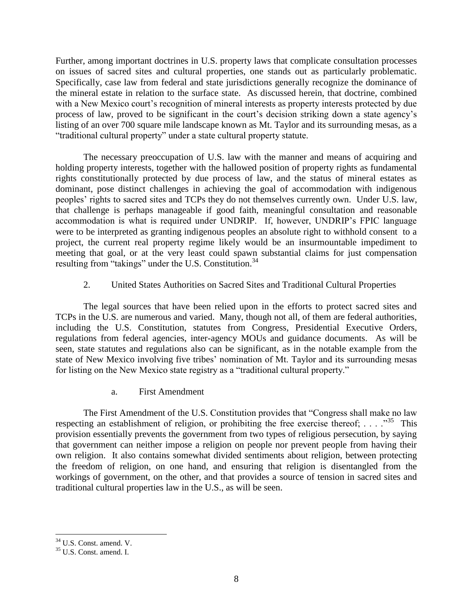Further, among important doctrines in U.S. property laws that complicate consultation processes on issues of sacred sites and cultural properties, one stands out as particularly problematic. Specifically, case law from federal and state jurisdictions generally recognize the dominance of the mineral estate in relation to the surface state. As discussed herein, that doctrine, combined with a New Mexico court's recognition of mineral interests as property interests protected by due process of law, proved to be significant in the court's decision striking down a state agency's listing of an over 700 square mile landscape known as Mt. Taylor and its surrounding mesas, as a "traditional cultural property" under a state cultural property statute.

The necessary preoccupation of U.S. law with the manner and means of acquiring and holding property interests, together with the hallowed position of property rights as fundamental rights constitutionally protected by due process of law, and the status of mineral estates as dominant, pose distinct challenges in achieving the goal of accommodation with indigenous peoples' rights to sacred sites and TCPs they do not themselves currently own. Under U.S. law, that challenge is perhaps manageable if good faith, meaningful consultation and reasonable accommodation is what is required under UNDRIP. If, however, UNDRIP's FPIC language were to be interpreted as granting indigenous peoples an absolute right to withhold consent to a project, the current real property regime likely would be an insurmountable impediment to meeting that goal, or at the very least could spawn substantial claims for just compensation resulting from "takings" under the U.S. Constitution.<sup>34</sup>

## 2. United States Authorities on Sacred Sites and Traditional Cultural Properties

The legal sources that have been relied upon in the efforts to protect sacred sites and TCPs in the U.S. are numerous and varied. Many, though not all, of them are federal authorities, including the U.S. Constitution, statutes from Congress, Presidential Executive Orders, regulations from federal agencies, inter-agency MOUs and guidance documents. As will be seen, state statutes and regulations also can be significant, as in the notable example from the state of New Mexico involving five tribes' nomination of Mt. Taylor and its surrounding mesas for listing on the New Mexico state registry as a "traditional cultural property."

a. First Amendment

The First Amendment of the U.S. Constitution provides that "Congress shall make no law respecting an establishment of religion, or prohibiting the free exercise thereof;  $\dots$  ..."<sup>35</sup> This provision essentially prevents the government from two types of religious persecution, by saying that government can neither impose a religion on people nor prevent people from having their own religion. It also contains somewhat divided sentiments about religion, between protecting the freedom of religion, on one hand, and ensuring that religion is disentangled from the workings of government, on the other, and that provides a source of tension in sacred sites and traditional cultural properties law in the U.S., as will be seen.

 $\overline{a}$ <sup>34</sup> U.S. Const. amend. V.

<sup>35</sup> U.S. Const. amend. I.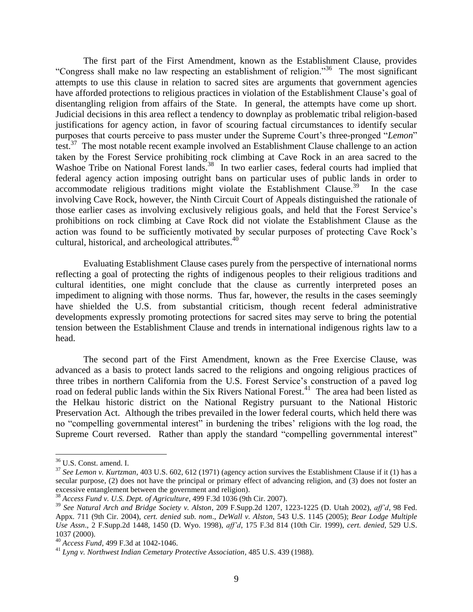The first part of the First Amendment, known as the Establishment Clause, provides "Congress shall make no law respecting an establishment of religion."<sup>36</sup> The most significant attempts to use this clause in relation to sacred sites are arguments that government agencies have afforded protections to religious practices in violation of the Establishment Clause's goal of disentangling religion from affairs of the State. In general, the attempts have come up short. Judicial decisions in this area reflect a tendency to downplay as problematic tribal religion-based justifications for agency action, in favor of scouring factual circumstances to identify secular purposes that courts perceive to pass muster under the Supreme Court's three-pronged "*Lemon*" test.<sup>37</sup> The most notable recent example involved an Establishment Clause challenge to an action taken by the Forest Service prohibiting rock climbing at Cave Rock in an area sacred to the Washoe Tribe on National Forest lands.<sup>38</sup> In two earlier cases, federal courts had implied that federal agency action imposing outright bans on particular uses of public lands in order to accommodate religious traditions might violate the Establishment Clause.<sup>39</sup> In the case involving Cave Rock, however, the Ninth Circuit Court of Appeals distinguished the rationale of those earlier cases as involving exclusively religious goals, and held that the Forest Service's prohibitions on rock climbing at Cave Rock did not violate the Establishment Clause as the action was found to be sufficiently motivated by secular purposes of protecting Cave Rock's cultural, historical, and archeological attributes.<sup>40</sup>

Evaluating Establishment Clause cases purely from the perspective of international norms reflecting a goal of protecting the rights of indigenous peoples to their religious traditions and cultural identities, one might conclude that the clause as currently interpreted poses an impediment to aligning with those norms. Thus far, however, the results in the cases seemingly have shielded the U.S. from substantial criticism, though recent federal administrative developments expressly promoting protections for sacred sites may serve to bring the potential tension between the Establishment Clause and trends in international indigenous rights law to a head.

The second part of the First Amendment, known as the Free Exercise Clause, was advanced as a basis to protect lands sacred to the religions and ongoing religious practices of three tribes in northern California from the U.S. Forest Service's construction of a paved log road on federal public lands within the Six Rivers National Forest.<sup>41</sup> The area had been listed as the Helkau historic district on the National Registry pursuant to the National Historic Preservation Act. Although the tribes prevailed in the lower federal courts, which held there was no "compelling governmental interest" in burdening the tribes' religions with the log road, the Supreme Court reversed. Rather than apply the standard "compelling governmental interest"

<sup>36</sup> U.S. Const. amend. I.

<sup>37</sup> *See Lemon v. Kurtzman*, 403 U.S. 602, 612 (1971) (agency action survives the Establishment Clause if it (1) has a secular purpose, (2) does not have the principal or primary effect of advancing religion, and (3) does not foster an excessive entanglement between the government and religion).

<sup>38</sup> *Access Fund v. U.S. Dept. of Agriculture*, 499 F.3d 1036 (9th Cir. 2007).

<sup>39</sup> *See Natural Arch and Bridge Society v. Alston*, 209 F.Supp.2d 1207, 1223-1225 (D. Utah 2002), *aff'd*, 98 Fed. Appx. 711 (9th Cir. 2004), *cert. denied sub. nom*., *DeWall v. Alston*, 543 U.S. 1145 (2005); *Bear Lodge Multiple Use Assn*., 2 F.Supp.2d 1448, 1450 (D. Wyo. 1998), *aff'd*, 175 F.3d 814 (10th Cir. 1999), *cert. denied*, 529 U.S. 1037 (2000).

<sup>40</sup> *Access Fund*, 499 F.3d at 1042-1046.

<sup>41</sup> *Lyng v. Northwest Indian Cemetary Protective Association*, 485 U.S. 439 (1988).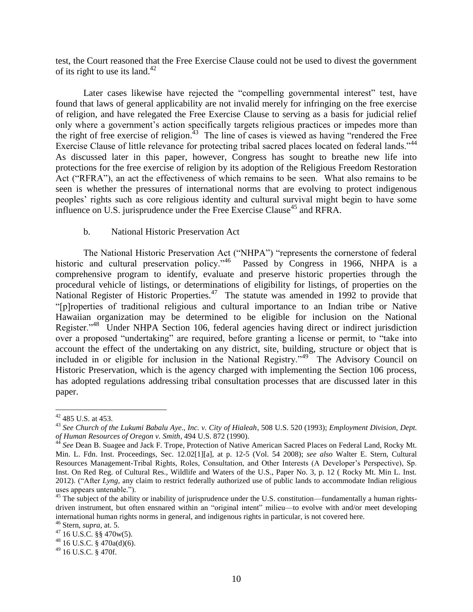test, the Court reasoned that the Free Exercise Clause could not be used to divest the government of its right to use its land.<sup>42</sup>

Later cases likewise have rejected the "compelling governmental interest" test, have found that laws of general applicability are not invalid merely for infringing on the free exercise of religion, and have relegated the Free Exercise Clause to serving as a basis for judicial relief only where a government's action specifically targets religious practices or impedes more than the right of free exercise of religion. 43 The line of cases is viewed as having "rendered the Free Exercise Clause of little relevance for protecting tribal sacred places located on federal lands."<sup>44</sup> As discussed later in this paper, however, Congress has sought to breathe new life into protections for the free exercise of religion by its adoption of the Religious Freedom Restoration Act ("RFRA"), an act the effectiveness of which remains to be seen. What also remains to be seen is whether the pressures of international norms that are evolving to protect indigenous peoples' rights such as core religious identity and cultural survival might begin to have some influence on U.S. jurisprudence under the Free Exercise Clause<sup>45</sup> and RFRA.

### b. National Historic Preservation Act

The National Historic Preservation Act ("NHPA") "represents the cornerstone of federal historic and cultural preservation policy."<sup>46</sup> Passed by Congress in 1966, NHPA is a comprehensive program to identify, evaluate and preserve historic properties through the procedural vehicle of listings, or determinations of eligibility for listings, of properties on the National Register of Historic Properties.<sup>47</sup> The statute was amended in 1992 to provide that "[p]roperties of traditional religious and cultural importance to an Indian tribe or Native Hawaiian organization may be determined to be eligible for inclusion on the National Register."<sup>48</sup> Under NHPA Section 106, federal agencies having direct or indirect jurisdiction over a proposed "undertaking" are required, before granting a license or permit, to "take into account the effect of the undertaking on any district, site, building, structure or object that is included in or eligible for inclusion in the National Registry."<sup>49</sup> The Advisory Council on Historic Preservation, which is the agency charged with implementing the Section 106 process, has adopted regulations addressing tribal consultation processes that are discussed later in this paper.

 $42$  485 U.S. at 453.

<sup>43</sup> *See Church of the Lukumi Babalu Aye., Inc. v. City of Hialeah*, 508 U.S. 520 (1993); *Employment Division, Dept. of Human Resources of Oregon v. Smith*, 494 U.S. 872 (1990).

<sup>44</sup> *See* Dean B. Suagee and Jack F. Trope, Protection of Native American Sacred Places on Federal Land, Rocky Mt. Min. L. Fdn. Inst. Proceedings, Sec. 12.02[1][a], at p. 12-5 (Vol. 54 2008); *see also* Walter E. Stern, Cultural Resources Management-Tribal Rights, Roles, Consultation, and Other Interests (A Developer's Perspective), Sp. Inst. On Red Reg. of Cultural Res., Wildlife and Waters of the U.S., Paper No. 3, p. 12 ( Rocky Mt. Min L. Inst. 2012). ("After *Lyng*, any claim to restrict federally authorized use of public lands to accommodate Indian religious uses appears untenable.").

 $45$  The subject of the ability or inability of jurisprudence under the U.S. constitution—fundamentally a human rightsdriven instrument, but often ensnared within an "original intent" milieu—to evolve with and/or meet developing international human rights norms in general, and indigenous rights in particular, is not covered here.

<sup>46</sup> Stern, *supra*, at. 5.

 $^{47}$  16 U.S.C.  $\S$ § 470w(5).

 $48$  16 U.S.C. § 470a(d)(6).

<sup>49</sup> 16 U.S.C. § 470f.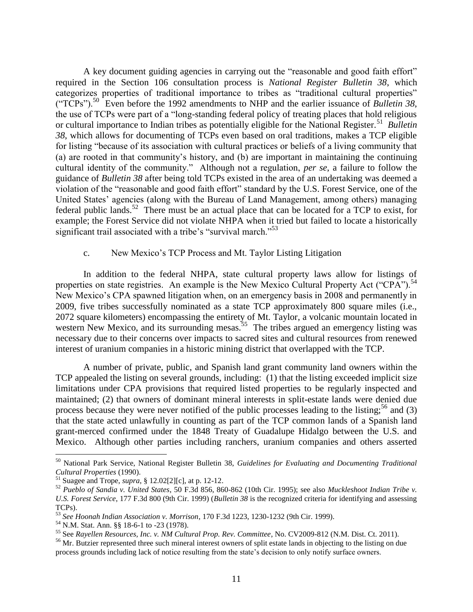A key document guiding agencies in carrying out the "reasonable and good faith effort" required in the Section 106 consultation process is *National Register Bulletin 38*, which categorizes properties of traditional importance to tribes as "traditional cultural properties" ("TCPs").<sup>50</sup> Even before the 1992 amendments to NHP and the earlier issuance of *Bulletin 38*, the use of TCPs were part of a "long-standing federal policy of treating places that hold religious or cultural importance to Indian tribes as potentially eligible for the National Register.<sup>51</sup> Bulletin *38*, which allows for documenting of TCPs even based on oral traditions, makes a TCP eligible for listing "because of its association with cultural practices or beliefs of a living community that (a) are rooted in that community's history, and (b) are important in maintaining the continuing cultural identity of the community." Although not a regulation, *per se*, a failure to follow the guidance of *Bulletin 38* after being told TCPs existed in the area of an undertaking was deemed a violation of the "reasonable and good faith effort" standard by the U.S. Forest Service, one of the United States' agencies (along with the Bureau of Land Management, among others) managing federal public lands.<sup>52</sup> There must be an actual place that can be located for a TCP to exist, for example; the Forest Service did not violate NHPA when it tried but failed to locate a historically significant trail associated with a tribe's "survival march."<sup>53</sup>

### c. New Mexico's TCP Process and Mt. Taylor Listing Litigation

In addition to the federal NHPA, state cultural property laws allow for listings of properties on state registries. An example is the New Mexico Cultural Property Act ("CPA").<sup>54</sup> New Mexico's CPA spawned litigation when, on an emergency basis in 2008 and permanently in 2009, five tribes successfully nominated as a state TCP approximately 800 square miles (i.e., 2072 square kilometers) encompassing the entirety of Mt. Taylor, a volcanic mountain located in western New Mexico, and its surrounding mesas.<sup>55</sup> The tribes argued an emergency listing was necessary due to their concerns over impacts to sacred sites and cultural resources from renewed interest of uranium companies in a historic mining district that overlapped with the TCP.

A number of private, public, and Spanish land grant community land owners within the TCP appealed the listing on several grounds, including: (1) that the listing exceeded implicit size limitations under CPA provisions that required listed properties to be regularly inspected and maintained; (2) that owners of dominant mineral interests in split-estate lands were denied due process because they were never notified of the public processes leading to the listing;<sup>56</sup> and (3) that the state acted unlawfully in counting as part of the TCP common lands of a Spanish land grant-merced confirmed under the 1848 Treaty of Guadalupe Hidalgo between the U.S. and Mexico. Although other parties including ranchers, uranium companies and others asserted

<sup>50</sup> National Park Service, National Register Bulletin 38, *Guidelines for Evaluating and Documenting Traditional Cultural Properties* (1990).

<sup>51</sup> Suagee and Trope, *supra*, § 12.02[2][c], at p. 12-12.

<sup>52</sup> *Pueblo of Sandia v. United States*, 50 F.3d 856, 860-862 (10th Cir. 1995); see also *Muckleshoot Indian Tribe v. U.S. Forest Service*, 177 F.3d 800 (9th Cir. 1999) (*Bulletin 38* is the recognized criteria for identifying and assessing TCPs).

<sup>53</sup> *See Hoonah Indian Association v. Morrison*, 170 F.3d 1223, 1230-1232 (9th Cir. 1999).

<sup>54</sup> N.M. Stat. Ann. §§ 18-6-1 to -23 (1978).

<sup>55</sup> See *Rayellen Resources, Inc. v. NM Cultural Prop. Rev. Committee*, No. CV2009-812 (N.M. Dist. Ct. 2011).

<sup>&</sup>lt;sup>56</sup> Mr. Butzier represented three such mineral interest owners of split estate lands in objecting to the listing on due process grounds including lack of notice resulting from the state's decision to only notify surface owners.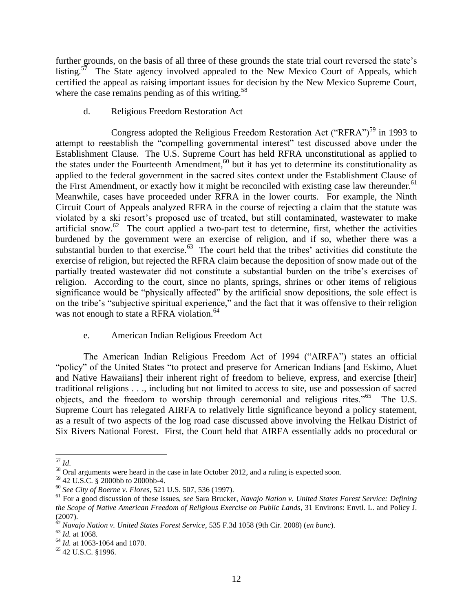further grounds, on the basis of all three of these grounds the state trial court reversed the state's listing.<sup>57</sup> The State agency involved appealed to the New Mexico Court of Appeals, which certified the appeal as raising important issues for decision by the New Mexico Supreme Court, where the case remains pending as of this writing. $58$ 

d. Religious Freedom Restoration Act

Congress adopted the Religious Freedom Restoration Act ("RFRA")<sup>59</sup> in 1993 to attempt to reestablish the "compelling governmental interest" test discussed above under the Establishment Clause. The U.S. Supreme Court has held RFRA unconstitutional as applied to the states under the Fourteenth Amendment, $60$  but it has yet to determine its constitutionality as applied to the federal government in the sacred sites context under the Establishment Clause of the First Amendment, or exactly how it might be reconciled with existing case law thereunder.<sup>61</sup> Meanwhile, cases have proceeded under RFRA in the lower courts. For example, the Ninth Circuit Court of Appeals analyzed RFRA in the course of rejecting a claim that the statute was violated by a ski resort's proposed use of treated, but still contaminated, wastewater to make artificial snow.<sup>62</sup> The court applied a two-part test to determine, first, whether the activities burdened by the government were an exercise of religion, and if so, whether there was a substantial burden to that exercise.<sup>63</sup> The court held that the tribes' activities did constitute the exercise of religion, but rejected the RFRA claim because the deposition of snow made out of the partially treated wastewater did not constitute a substantial burden on the tribe's exercises of religion. According to the court, since no plants, springs, shrines or other items of religious significance would be "physically affected" by the artificial snow depositions, the sole effect is on the tribe's "subjective spiritual experience," and the fact that it was offensive to their religion was not enough to state a RFRA violation.<sup>64</sup>

# e. American Indian Religious Freedom Act

The American Indian Religious Freedom Act of 1994 ("AIRFA") states an official "policy" of the United States "to protect and preserve for American Indians [and Eskimo, Aluet and Native Hawaiians] their inherent right of freedom to believe, express, and exercise [their] traditional religions . . ., including but not limited to access to site, use and possession of sacred objects, and the freedom to worship through ceremonial and religious rites."<sup>65</sup> The U.S. Supreme Court has relegated AIRFA to relatively little significance beyond a policy statement, as a result of two aspects of the log road case discussed above involving the Helkau District of Six Rivers National Forest. First, the Court held that AIRFA essentially adds no procedural or

 $\overline{a}$ <sup>57</sup> *Id*.

<sup>&</sup>lt;sup>58</sup> Oral arguments were heard in the case in late October 2012, and a ruling is expected soon.

<sup>59</sup> 42 U.S.C. § 2000bb to 2000bb-4.

<sup>60</sup> *See City of Boerne v. Flores*, 521 U.S. 507, 536 (1997).

<sup>61</sup> For a good discussion of these issues, *see* Sara Brucker, *Navajo Nation v. United States Forest Service: Defining the Scope of Native American Freedom of Religious Exercise on Public Lands*, 31 Environs: Envtl. L. and Policy J.  $(2007)$ .

<sup>62</sup> *Navajo Nation v. United States Forest Service*, 535 F.3d 1058 (9th Cir. 2008) (*en banc*).

<sup>63</sup> *Id.* at 1068.

<sup>64</sup> *Id.* at 1063-1064 and 1070.

<sup>65</sup> 42 U.S.C. §1996.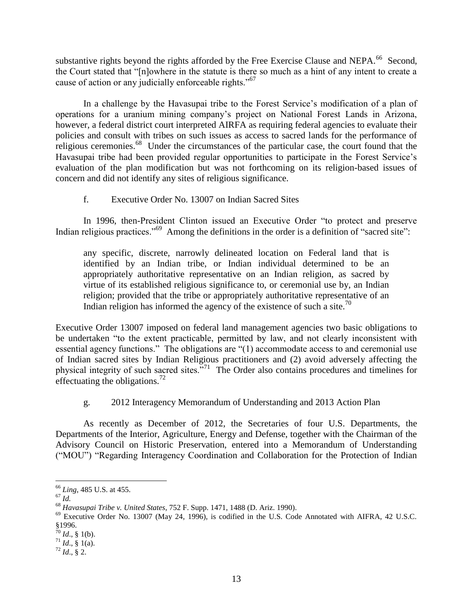substantive rights beyond the rights afforded by the Free Exercise Clause and NEPA.<sup>66</sup> Second, the Court stated that "[n]owhere in the statute is there so much as a hint of any intent to create a cause of action or any judicially enforceable rights."<sup>67</sup>

In a challenge by the Havasupai tribe to the Forest Service's modification of a plan of operations for a uranium mining company's project on National Forest Lands in Arizona, however, a federal district court interpreted AIRFA as requiring federal agencies to evaluate their policies and consult with tribes on such issues as access to sacred lands for the performance of religious ceremonies.<sup>68</sup> Under the circumstances of the particular case, the court found that the Havasupai tribe had been provided regular opportunities to participate in the Forest Service's evaluation of the plan modification but was not forthcoming on its religion-based issues of concern and did not identify any sites of religious significance.

f. Executive Order No. 13007 on Indian Sacred Sites

In 1996, then-President Clinton issued an Executive Order "to protect and preserve Indian religious practices."<sup>69</sup> Among the definitions in the order is a definition of "sacred site":

any specific, discrete, narrowly delineated location on Federal land that is identified by an Indian tribe, or Indian individual determined to be an appropriately authoritative representative on an Indian religion, as sacred by virtue of its established religious significance to, or ceremonial use by, an Indian religion; provided that the tribe or appropriately authoritative representative of an Indian religion has informed the agency of the existence of such a site.<sup>70</sup>

Executive Order 13007 imposed on federal land management agencies two basic obligations to be undertaken "to the extent practicable, permitted by law, and not clearly inconsistent with essential agency functions." The obligations are "(1) accommodate access to and ceremonial use of Indian sacred sites by Indian Religious practitioners and (2) avoid adversely affecting the physical integrity of such sacred sites."<sup>71</sup> The Order also contains procedures and timelines for effectuating the obligations.<sup>72</sup>

# g. 2012 Interagency Memorandum of Understanding and 2013 Action Plan

As recently as December of 2012, the Secretaries of four U.S. Departments, the Departments of the Interior, Agriculture, Energy and Defense, together with the Chairman of the Advisory Council on Historic Preservation, entered into a Memorandum of Understanding ("MOU") "Regarding Interagency Coordination and Collaboration for the Protection of Indian

<sup>66</sup> *Ling*, 485 U.S. at 455.

 $^{67}$  *Id.* 

<sup>68</sup> *Havasupai Tribe v. United States*, 752 F. Supp. 1471, 1488 (D. Ariz. 1990).

<sup>&</sup>lt;sup>69</sup> Executive Order No. 13007 (May 24, 1996), is codified in the U.S. Code Annotated with AIFRA, 42 U.S.C. §1996.

 $70$  *Id.*, § 1(b).

 $^{71}$  *Id.*, § 1(a).

<sup>72</sup> *Id*., § 2.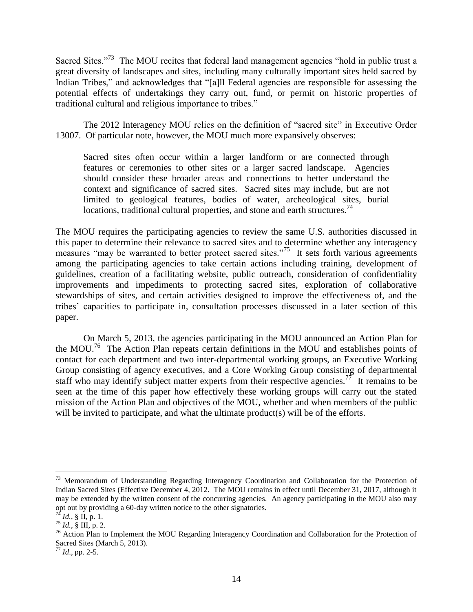Sacred Sites."<sup>73</sup> The MOU recites that federal land management agencies "hold in public trust a great diversity of landscapes and sites, including many culturally important sites held sacred by Indian Tribes," and acknowledges that "[a]ll Federal agencies are responsible for assessing the potential effects of undertakings they carry out, fund, or permit on historic properties of traditional cultural and religious importance to tribes."

The 2012 Interagency MOU relies on the definition of "sacred site" in Executive Order 13007. Of particular note, however, the MOU much more expansively observes:

Sacred sites often occur within a larger landform or are connected through features or ceremonies to other sites or a larger sacred landscape. Agencies should consider these broader areas and connections to better understand the context and significance of sacred sites. Sacred sites may include, but are not limited to geological features, bodies of water, archeological sites, burial locations, traditional cultural properties, and stone and earth structures.<sup>74</sup>

The MOU requires the participating agencies to review the same U.S. authorities discussed in this paper to determine their relevance to sacred sites and to determine whether any interagency measures "may be warranted to better protect sacred sites."<sup>75</sup> It sets forth various agreements among the participating agencies to take certain actions including training, development of guidelines, creation of a facilitating website, public outreach, consideration of confidentiality improvements and impediments to protecting sacred sites, exploration of collaborative stewardships of sites, and certain activities designed to improve the effectiveness of, and the tribes' capacities to participate in, consultation processes discussed in a later section of this paper.

On March 5, 2013, the agencies participating in the MOU announced an Action Plan for the MOU.<sup>76</sup> The Action Plan repeats certain definitions in the MOU and establishes points of contact for each department and two inter-departmental working groups, an Executive Working Group consisting of agency executives, and a Core Working Group consisting of departmental staff who may identify subject matter experts from their respective agencies.<sup>77</sup> It remains to be seen at the time of this paper how effectively these working groups will carry out the stated mission of the Action Plan and objectives of the MOU, whether and when members of the public will be invited to participate, and what the ultimate product(s) will be of the efforts.

<sup>&</sup>lt;sup>73</sup> Memorandum of Understanding Regarding Interagency Coordination and Collaboration for the Protection of Indian Sacred Sites (Effective December 4, 2012. The MOU remains in effect until December 31, 2017, although it may be extended by the written consent of the concurring agencies. An agency participating in the MOU also may opt out by providing a 60-day written notice to the other signatories.

*Id.*, § II, p. 1.

 $^{75}$  *Id.*,  $\frac{8}{9}$  III, p. 2.

<sup>&</sup>lt;sup>76</sup> Action Plan to Implement the MOU Regarding Interagency Coordination and Collaboration for the Protection of Sacred Sites (March 5, 2013).

<sup>77</sup> *Id*., pp. 2-5.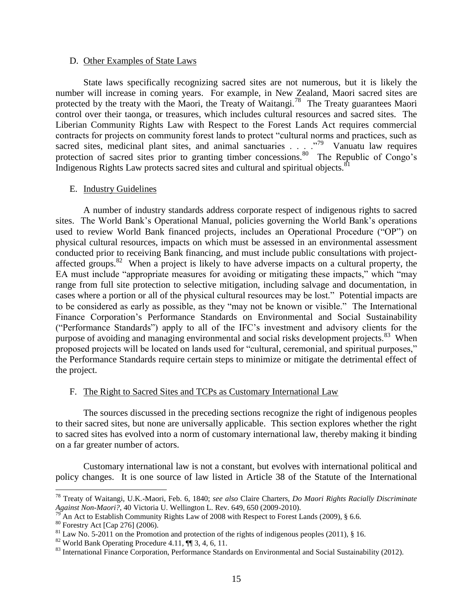#### D. Other Examples of State Laws

State laws specifically recognizing sacred sites are not numerous, but it is likely the number will increase in coming years. For example, in New Zealand, Maori sacred sites are protected by the treaty with the Maori, the Treaty of Waitangi.<sup>78</sup> The Treaty guarantees Maori control over their taonga, or treasures, which includes cultural resources and sacred sites. The Liberian Community Rights Law with Respect to the Forest Lands Act requires commercial contracts for projects on community forest lands to protect "cultural norms and practices, such as sacred sites, medicinal plant sites, and animal sanctuaries . . . . .<sup>79</sup> Vanuatu law requires protection of sacred sites prior to granting timber concessions.<sup>80</sup> The Republic of Congo's Indigenous Rights Law protects sacred sites and cultural and spiritual objects.<sup>81</sup>

### E. Industry Guidelines

A number of industry standards address corporate respect of indigenous rights to sacred sites. The World Bank's Operational Manual, policies governing the World Bank's operations used to review World Bank financed projects, includes an Operational Procedure ("OP") on physical cultural resources, impacts on which must be assessed in an environmental assessment conducted prior to receiving Bank financing, and must include public consultations with projectaffected groups.<sup>82</sup> When a project is likely to have adverse impacts on a cultural property, the EA must include "appropriate measures for avoiding or mitigating these impacts," which "may range from full site protection to selective mitigation, including salvage and documentation, in cases where a portion or all of the physical cultural resources may be lost." Potential impacts are to be considered as early as possible, as they "may not be known or visible." The International Finance Corporation's Performance Standards on Environmental and Social Sustainability ("Performance Standards") apply to all of the IFC's investment and advisory clients for the purpose of avoiding and managing environmental and social risks development projects.<sup>83</sup> When proposed projects will be located on lands used for "cultural, ceremonial, and spiritual purposes," the Performance Standards require certain steps to minimize or mitigate the detrimental effect of the project.

## F. The Right to Sacred Sites and TCPs as Customary International Law

The sources discussed in the preceding sections recognize the right of indigenous peoples to their sacred sites, but none are universally applicable. This section explores whether the right to sacred sites has evolved into a norm of customary international law, thereby making it binding on a far greater number of actors.

Customary international law is not a constant, but evolves with international political and policy changes. It is one source of law listed in Article 38 of the Statute of the International

<sup>78</sup> Treaty of Waitangi, U.K.-Maori, Feb. 6, 1840; *see also* Claire Charters, *Do Maori Rights Racially Discriminate Against Non-Maori?*, 40 Victoria U. Wellington L. Rev. 649, 650 (2009-2010).

An Act to Establish Community Rights Law of 2008 with Respect to Forest Lands (2009), § 6.6.

<sup>80</sup> Forestry Act [Cap 276] (2006).

 $81$  Law No. 5-2011 on the Promotion and protection of the rights of indigenous peoples (2011), § 16.

<sup>&</sup>lt;sup>82</sup> World Bank Operating Procedure 4.11,  $\P$  3, 4, 6, 11.

<sup>&</sup>lt;sup>83</sup> International Finance Corporation, Performance Standards on Environmental and Social Sustainability (2012).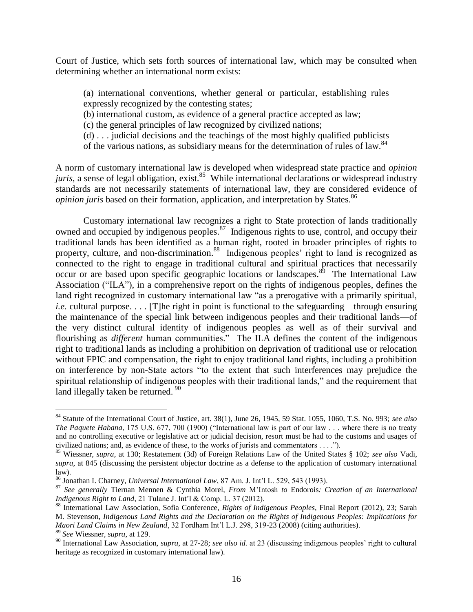Court of Justice, which sets forth sources of international law, which may be consulted when determining whether an international norm exists:

(a) international conventions, whether general or particular, establishing rules expressly recognized by the contesting states;

(b) international custom, as evidence of a general practice accepted as law;

(c) the general principles of law recognized by civilized nations;

(d) . . . judicial decisions and the teachings of the most highly qualified publicists

of the various nations, as subsidiary means for the determination of rules of law.<sup>84</sup>

A norm of customary international law is developed when widespread state practice and *opinion*  juris, a sense of legal obligation, exist.<sup>85</sup> While international declarations or widespread industry standards are not necessarily statements of international law, they are considered evidence of *opinion juris* based on their formation, application, and interpretation by States.<sup>86</sup>

Customary international law recognizes a right to State protection of lands traditionally owned and occupied by indigenous peoples.<sup>87</sup> Indigenous rights to use, control, and occupy their traditional lands has been identified as a human right, rooted in broader principles of rights to property, culture, and non-discrimination.<sup>88</sup> Indigenous peoples' right to land is recognized as connected to the right to engage in traditional cultural and spiritual practices that necessarily occur or are based upon specific geographic locations or landscapes.<sup>89</sup> The International Law Association ("ILA"), in a comprehensive report on the rights of indigenous peoples, defines the land right recognized in customary international law "as a prerogative with a primarily spiritual, *i.e.* cultural purpose.... [T]he right in point is functional to the safeguarding—through ensuring the maintenance of the special link between indigenous peoples and their traditional lands—of the very distinct cultural identity of indigenous peoples as well as of their survival and flourishing as *different* human communities." The ILA defines the content of the indigenous right to traditional lands as including a prohibition on deprivation of traditional use or relocation without FPIC and compensation, the right to enjoy traditional land rights, including a prohibition on interference by non-State actors "to the extent that such interferences may prejudice the spiritual relationship of indigenous peoples with their traditional lands," and the requirement that land illegally taken be returned. <sup>90</sup>

<sup>84</sup> Statute of the International Court of Justice, art. 38(1), June 26, 1945, 59 Stat. 1055, 1060, T.S. No. 993; *see also The Paquete Habana*, 175 U.S. 677, 700 (1900) ("International law is part of our law . . . where there is no treaty and no controlling executive or legislative act or judicial decision, resort must be had to the customs and usages of civilized nations; and, as evidence of these, to the works of jurists and commentators . . . .").

<sup>85</sup> Wiessner, *supra*, at 130; Restatement (3d) of Foreign Relations Law of the United States § 102; *see also* Vadi, *supra*, at 845 (discussing the persistent objector doctrine as a defense to the application of customary international law).

<sup>86</sup> Jonathan I. Charney, *Universal International Law*, 87 Am. J. Int'l L. 529, 543 (1993).

<sup>87</sup> *See generally* Tiernan Mennen & Cynthia Morel, *From* M'Intosh *to* Endorois*: Creation of an International Indigenous Right to Land*, 21 Tulane J. Int'l & Comp. L. 37 (2012).

<sup>88</sup> International Law Association, Sofia Conference, *Rights of Indigenous Peoples*, Final Report (2012), 23; Sarah M. Stevenson, *Indigenous Land Rights and the Declaration on the Rights of Indigenous Peoples: Implications for Maori Land Claims in New Zealand*, 32 Fordham Int'l L.J. 298, 319-23 (2008) (citing authorities). <sup>89</sup> *See* Wiessner, *supra*, at 129.

<sup>90</sup> International Law Association, *supra*, at 27-28; *see also id.* at 23 (discussing indigenous peoples' right to cultural heritage as recognized in customary international law).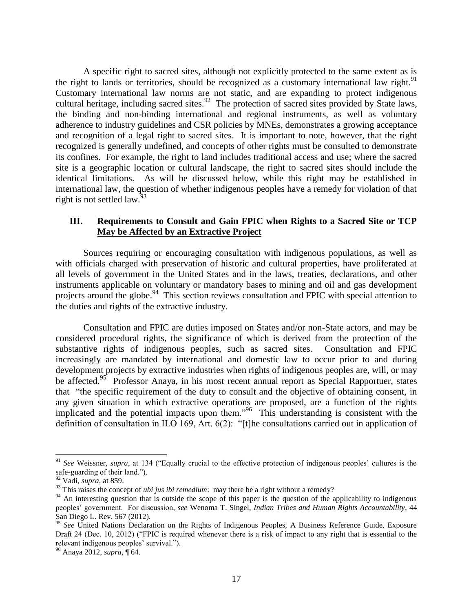A specific right to sacred sites, although not explicitly protected to the same extent as is the right to lands or territories, should be recognized as a customary international law right.<sup>91</sup> Customary international law norms are not static, and are expanding to protect indigenous cultural heritage, including sacred sites.<sup>92</sup> The protection of sacred sites provided by State laws, the binding and non-binding international and regional instruments, as well as voluntary adherence to industry guidelines and CSR policies by MNEs, demonstrates a growing acceptance and recognition of a legal right to sacred sites. It is important to note, however, that the right recognized is generally undefined, and concepts of other rights must be consulted to demonstrate its confines. For example, the right to land includes traditional access and use; where the sacred site is a geographic location or cultural landscape, the right to sacred sites should include the identical limitations. As will be discussed below, while this right may be established in international law, the question of whether indigenous peoples have a remedy for violation of that right is not settled law. $93$ 

## **III. Requirements to Consult and Gain FPIC when Rights to a Sacred Site or TCP May be Affected by an Extractive Project**

Sources requiring or encouraging consultation with indigenous populations, as well as with officials charged with preservation of historic and cultural properties, have proliferated at all levels of government in the United States and in the laws, treaties, declarations, and other instruments applicable on voluntary or mandatory bases to mining and oil and gas development projects around the globe.<sup>94</sup> This section reviews consultation and FPIC with special attention to the duties and rights of the extractive industry.

Consultation and FPIC are duties imposed on States and/or non-State actors, and may be considered procedural rights, the significance of which is derived from the protection of the substantive rights of indigenous peoples, such as sacred sites. Consultation and FPIC increasingly are mandated by international and domestic law to occur prior to and during development projects by extractive industries when rights of indigenous peoples are, will, or may be affected.<sup>95</sup> Professor Anaya, in his most recent annual report as Special Rapportuer, states that "the specific requirement of the duty to consult and the objective of obtaining consent, in any given situation in which extractive operations are proposed, are a function of the rights implicated and the potential impacts upon them."<sup>96</sup> This understanding is consistent with the definition of consultation in ILO 169, Art. 6(2): "[t]he consultations carried out in application of

<sup>91</sup> *See* Weissner, *supra*, at 134 ("Equally crucial to the effective protection of indigenous peoples' cultures is the safe-guarding of their land.").

<sup>92</sup> Vadi, *supra*, at 859.

<sup>&</sup>lt;sup>93</sup> This raises the concept of *ubi jus ibi remedium*: may there be a right without a remedy?

<sup>&</sup>lt;sup>94</sup> An interesting question that is outside the scope of this paper is the question of the applicability to indigenous peoples' government. For discussion, *see* Wenoma T. Singel, *Indian Tribes and Human Rights Accountability*, 44 San Diego L. Rev. 567 (2012).

<sup>95</sup> *See* United Nations Declaration on the Rights of Indigenous Peoples, A Business Reference Guide, Exposure Draft 24 (Dec. 10, 2012) ("FPIC is required whenever there is a risk of impact to any right that is essential to the relevant indigenous peoples' survival.").

<sup>96</sup> Anaya 2012, *supra*, ¶ 64.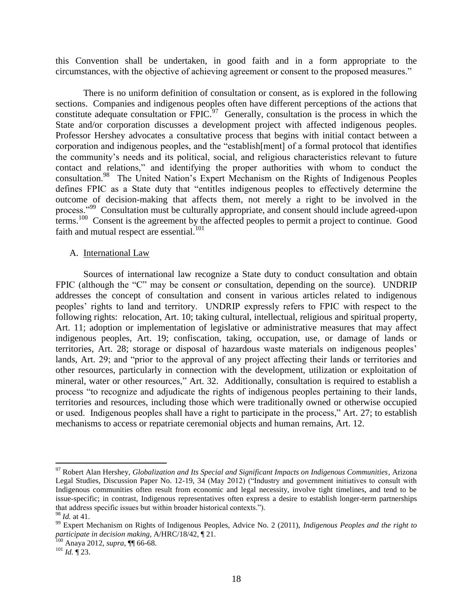this Convention shall be undertaken, in good faith and in a form appropriate to the circumstances, with the objective of achieving agreement or consent to the proposed measures."

There is no uniform definition of consultation or consent, as is explored in the following sections. Companies and indigenous peoples often have different perceptions of the actions that constitute adequate consultation or FPIC.<sup>97</sup> Generally, consultation is the process in which the State and/or corporation discusses a development project with affected indigenous peoples. Professor Hershey advocates a consultative process that begins with initial contact between a corporation and indigenous peoples, and the "establish[ment] of a formal protocol that identifies the community's needs and its political, social, and religious characteristics relevant to future contact and relations," and identifying the proper authorities with whom to conduct the consultation.<sup>98</sup> The United Nation's Expert Mechanism on the Rights of Indigenous Peoples defines FPIC as a State duty that "entitles indigenous peoples to effectively determine the outcome of decision-making that affects them, not merely a right to be involved in the process."<sup>99</sup> Consultation must be culturally appropriate, and consent should include agreed-upon terms.<sup>100</sup> Consent is the agreement by the affected peoples to permit a project to continue. Good faith and mutual respect are essential.<sup>101</sup>

#### A. International Law

Sources of international law recognize a State duty to conduct consultation and obtain FPIC (although the "C" may be consent *or* consultation, depending on the source). UNDRIP addresses the concept of consultation and consent in various articles related to indigenous peoples' rights to land and territory. UNDRIP expressly refers to FPIC with respect to the following rights: relocation, Art. 10; taking cultural, intellectual, religious and spiritual property, Art. 11; adoption or implementation of legislative or administrative measures that may affect indigenous peoples, Art. 19; confiscation, taking, occupation, use, or damage of lands or territories, Art. 28; storage or disposal of hazardous waste materials on indigenous peoples' lands, Art. 29; and "prior to the approval of any project affecting their lands or territories and other resources, particularly in connection with the development, utilization or exploitation of mineral, water or other resources," Art. 32. Additionally, consultation is required to establish a process "to recognize and adjudicate the rights of indigenous peoples pertaining to their lands, territories and resources, including those which were traditionally owned or otherwise occupied or used. Indigenous peoples shall have a right to participate in the process," Art. 27; to establish mechanisms to access or repatriate ceremonial objects and human remains, Art. 12.

<sup>97</sup> Robert Alan Hershey, *Globalization and Its Special and Significant Impacts on Indigenous Communities*, Arizona Legal Studies, Discussion Paper No. 12-19, 34 (May 2012) ("Industry and government initiatives to consult with Indigenous communities often result from economic and legal necessity, involve tight timelines, and tend to be issue-specific; in contrast, Indigenous representatives often express a desire to establish longer-term partnerships that address specific issues but within broader historical contexts.").

<sup>98</sup> *Id.* at 41.

<sup>99</sup> Expert Mechanism on Rights of Indigenous Peoples, Advice No. 2 (2011), *Indigenous Peoples and the right to participate in decision making*, A/HRC/18/42, ¶ 21.

<sup>100</sup> Anaya 2012, *supra*, ¶¶ 66-68.

<sup>101</sup> *Id.* ¶ 23.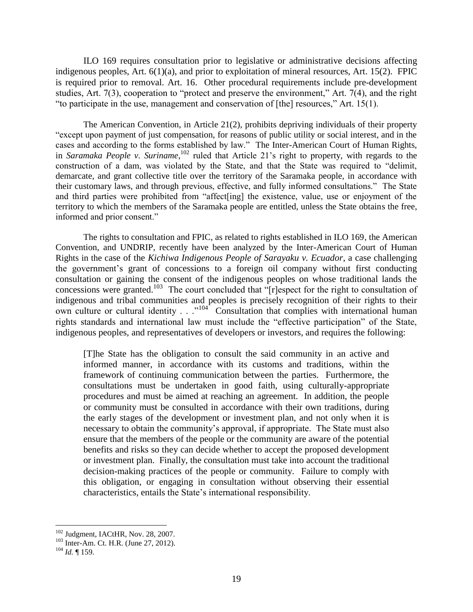ILO 169 requires consultation prior to legislative or administrative decisions affecting indigenous peoples, Art.  $6(1)(a)$ , and prior to exploitation of mineral resources, Art. 15(2). FPIC is required prior to removal. Art. 16. Other procedural requirements include pre-development studies, Art. 7(3), cooperation to "protect and preserve the environment," Art. 7(4), and the right "to participate in the use, management and conservation of [the] resources," Art. 15(1).

The American Convention, in Article 21(2), prohibits depriving individuals of their property "except upon payment of just compensation, for reasons of public utility or social interest, and in the cases and according to the forms established by law." The Inter-American Court of Human Rights, in *Saramaka People v. Suriname*,<sup>102</sup> ruled that Article 21's right to property, with regards to the construction of a dam, was violated by the State, and that the State was required to "delimit, demarcate, and grant collective title over the territory of the Saramaka people, in accordance with their customary laws, and through previous, effective, and fully informed consultations." The State and third parties were prohibited from "affect[ing] the existence, value, use or enjoyment of the territory to which the members of the Saramaka people are entitled, unless the State obtains the free, informed and prior consent."

The rights to consultation and FPIC, as related to rights established in ILO 169, the American Convention, and UNDRIP, recently have been analyzed by the Inter-American Court of Human Rights in the case of the *Kichiwa Indigenous People of Sarayaku v. Ecuador*, a case challenging the government's grant of concessions to a foreign oil company without first conducting consultation or gaining the consent of the indigenous peoples on whose traditional lands the concessions were granted.<sup>103</sup> The court concluded that "[r]espect for the right to consultation of indigenous and tribal communities and peoples is precisely recognition of their rights to their own culture or cultural identity . . ."<sup>104</sup> Consultation that complies with international human rights standards and international law must include the "effective participation" of the State, indigenous peoples, and representatives of developers or investors, and requires the following:

[T]he State has the obligation to consult the said community in an active and informed manner, in accordance with its customs and traditions, within the framework of continuing communication between the parties. Furthermore, the consultations must be undertaken in good faith, using culturally-appropriate procedures and must be aimed at reaching an agreement. In addition, the people or community must be consulted in accordance with their own traditions, during the early stages of the development or investment plan, and not only when it is necessary to obtain the community's approval, if appropriate. The State must also ensure that the members of the people or the community are aware of the potential benefits and risks so they can decide whether to accept the proposed development or investment plan. Finally, the consultation must take into account the traditional decision-making practices of the people or community. Failure to comply with this obligation, or engaging in consultation without observing their essential characteristics, entails the State's international responsibility.

<sup>&</sup>lt;sup>102</sup> Judgment, IACtHR, Nov. 28, 2007.

 $^{103}$  Inter-Am. Ct. H.R. (June 27, 2012).

<sup>104</sup> *Id.* ¶ 159.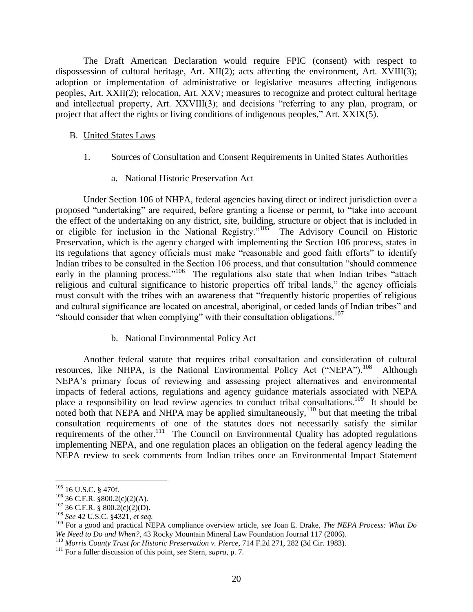The Draft American Declaration would require FPIC (consent) with respect to dispossession of cultural heritage, Art. XII(2); acts affecting the environment, Art. XVIII(3); adoption or implementation of administrative or legislative measures affecting indigenous peoples, Art. XXII(2); relocation, Art. XXV; measures to recognize and protect cultural heritage and intellectual property, Art. XXVIII(3); and decisions "referring to any plan, program, or project that affect the rights or living conditions of indigenous peoples," Art. XXIX(5).

#### B. United States Laws

- 1. Sources of Consultation and Consent Requirements in United States Authorities
	- a. National Historic Preservation Act

Under Section 106 of NHPA, federal agencies having direct or indirect jurisdiction over a proposed "undertaking" are required, before granting a license or permit, to "take into account the effect of the undertaking on any district, site, building, structure or object that is included in or eligible for inclusion in the National Registry."<sup>105</sup> The Advisory Council on Historic Preservation, which is the agency charged with implementing the Section 106 process, states in its regulations that agency officials must make "reasonable and good faith efforts" to identify Indian tribes to be consulted in the Section 106 process, and that consultation "should commence early in the planning process."<sup>106</sup> The regulations also state that when Indian tribes "attach religious and cultural significance to historic properties off tribal lands," the agency officials must consult with the tribes with an awareness that "frequently historic properties of religious and cultural significance are located on ancestral, aboriginal, or ceded lands of Indian tribes" and "should consider that when complying" with their consultation obligations.<sup>107</sup>

b. National Environmental Policy Act

Another federal statute that requires tribal consultation and consideration of cultural resources, like NHPA, is the National Environmental Policy Act ("NEPA").<sup>108</sup> Although NEPA's primary focus of reviewing and assessing project alternatives and environmental impacts of federal actions, regulations and agency guidance materials associated with NEPA place a responsibility on lead review agencies to conduct tribal consultations.<sup>109</sup> It should be noted both that NEPA and NHPA may be applied simultaneously,  $110$  but that meeting the tribal consultation requirements of one of the statutes does not necessarily satisfy the similar requirements of the other.<sup>111</sup> The Council on Environmental Quality has adopted regulations implementing NEPA, and one regulation places an obligation on the federal agency leading the NEPA review to seek comments from Indian tribes once an Environmental Impact Statement

<sup>105</sup> 16 U.S.C. § 470f.

 $106$  36 C.F.R. §800.2(c)(2)(A).

<sup>107</sup> 36 C.F.R. § 800.2(c)(2)(D).

<sup>108</sup> *See* 42 U.S.C. §4321, *et seq.*

<sup>109</sup> For a good and practical NEPA compliance overview article, *see* Joan E. Drake, *The NEPA Process: What Do We Need to Do and When?*, 43 Rocky Mountain Mineral Law Foundation Journal 117 (2006).

<sup>110</sup> *Morris County Trust for Historic Preservation v. Pierce*, 714 F.2d 271, 282 (3d Cir. 1983).

<sup>111</sup> For a fuller discussion of this point, *see* Stern, *supra*, p. 7.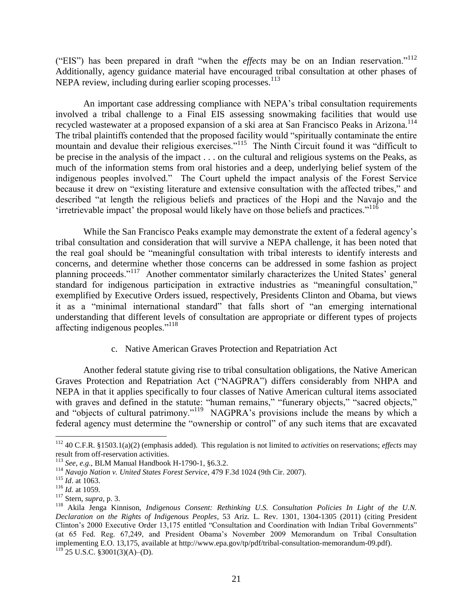("EIS") has been prepared in draft "when the *effects* may be on an Indian reservation."<sup>112</sup> Additionally, agency guidance material have encouraged tribal consultation at other phases of NEPA review, including during earlier scoping processes.<sup>113</sup>

An important case addressing compliance with NEPA's tribal consultation requirements involved a tribal challenge to a Final EIS assessing snowmaking facilities that would use recycled wastewater at a proposed expansion of a ski area at San Francisco Peaks in Arizona.<sup>114</sup> The tribal plaintiffs contended that the proposed facility would "spiritually contaminate the entire mountain and devalue their religious exercises."<sup>115</sup> The Ninth Circuit found it was "difficult to be precise in the analysis of the impact . . . on the cultural and religious systems on the Peaks, as much of the information stems from oral histories and a deep, underlying belief system of the indigenous peoples involved." The Court upheld the impact analysis of the Forest Service because it drew on "existing literature and extensive consultation with the affected tribes," and described "at length the religious beliefs and practices of the Hopi and the Navajo and the 'irretrievable impact' the proposal would likely have on those beliefs and practices."<sup>116</sup>

While the San Francisco Peaks example may demonstrate the extent of a federal agency's tribal consultation and consideration that will survive a NEPA challenge, it has been noted that the real goal should be "meaningful consultation with tribal interests to identify interests and concerns, and determine whether those concerns can be addressed in some fashion as project planning proceeds."<sup>117</sup> Another commentator similarly characterizes the United States' general standard for indigenous participation in extractive industries as "meaningful consultation," exemplified by Executive Orders issued, respectively, Presidents Clinton and Obama, but views it as a "minimal international standard" that falls short of "an emerging international understanding that different levels of consultation are appropriate or different types of projects affecting indigenous peoples."<sup>118</sup>

## c. Native American Graves Protection and Repatriation Act

Another federal statute giving rise to tribal consultation obligations, the Native American Graves Protection and Repatriation Act ("NAGPRA") differs considerably from NHPA and NEPA in that it applies specifically to four classes of Native American cultural items associated with graves and defined in the statute: "human remains," "funerary objects," "sacred objects," and "objects of cultural patrimony."<sup>119</sup> NAGPRA's provisions include the means by which a federal agency must determine the "ownership or control" of any such items that are excavated

<sup>112</sup> 40 C.F.R. §1503.1(a)(2) (emphasis added). This regulation is not limited to *activities* on reservations; *effects* may result from off-reservation activities.

<sup>113</sup> *See*, *e.g*., BLM Manual Handbook H-1790-1, §6.3.2.

<sup>114</sup> *Navajo Nation v. United States Forest Service*, 479 F.3d 1024 (9th Cir. 2007).

<sup>115</sup> *Id*. at 1063.

<sup>116</sup> *Id.* at 1059.

<sup>117</sup> Stern, *supra*, p. 3.

<sup>118</sup> Akila Jenga Kinnison, *Indigenous Consent: Rethinking U.S. Consultation Policies In Light of the U.N. Declaration on the Rights of Indigenous Peoples*, 53 Ariz. L. Rev. 1301, 1304-1305 (2011) (citing President Clinton's 2000 Executive Order 13,175 entitled "Consultation and Coordination with Indian Tribal Governments" (at 65 Fed. Reg. 67,249, and President Obama's November 2009 Memorandum on Tribal Consultation implementing E.O. 13,175, available at http://www.epa.gov/tp/pdf/tribal-consultation-memorandum-09.pdf).  $^{119}$  25 U.S.C. §3001(3)(A)–(D).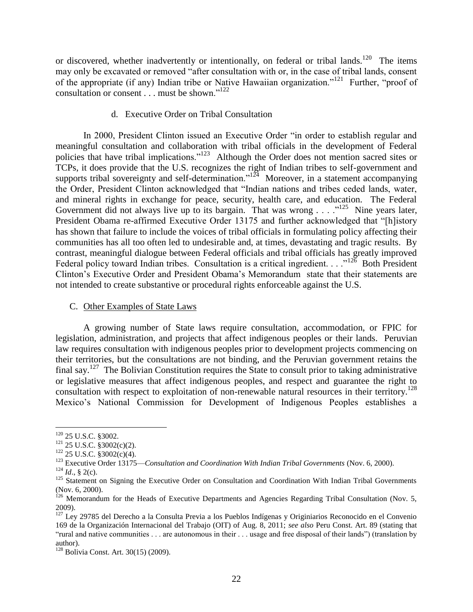or discovered, whether inadvertently or intentionally, on federal or tribal lands.<sup>120</sup> The items may only be excavated or removed "after consultation with or, in the case of tribal lands, consent of the appropriate (if any) Indian tribe or Native Hawaiian organization."<sup>121</sup> Further, "proof of consultation or consent . . . must be shown."<sup>122</sup>

## d. Executive Order on Tribal Consultation

In 2000, President Clinton issued an Executive Order "in order to establish regular and meaningful consultation and collaboration with tribal officials in the development of Federal policies that have tribal implications."<sup>123</sup> Although the Order does not mention sacred sites or TCPs, it does provide that the U.S. recognizes the right of Indian tribes to self-government and supports tribal sovereignty and self-determination." $124$  Moreover, in a statement accompanying the Order, President Clinton acknowledged that "Indian nations and tribes ceded lands, water, and mineral rights in exchange for peace, security, health care, and education. The Federal Government did not always live up to its bargain. That was wrong . . . .<sup>125</sup> Nine years later, President Obama re-affirmed Executive Order 13175 and further acknowledged that "[h]istory has shown that failure to include the voices of tribal officials in formulating policy affecting their communities has all too often led to undesirable and, at times, devastating and tragic results. By contrast, meaningful dialogue between Federal officials and tribal officials has greatly improved Federal policy toward Indian tribes. Consultation is a critical ingredient.  $\ldots$ <sup>126</sup> Both President Clinton's Executive Order and President Obama's Memorandum state that their statements are not intended to create substantive or procedural rights enforceable against the U.S.

#### C. Other Examples of State Laws

A growing number of State laws require consultation, accommodation, or FPIC for legislation, administration, and projects that affect indigenous peoples or their lands. Peruvian law requires consultation with indigenous peoples prior to development projects commencing on their territories, but the consultations are not binding, and the Peruvian government retains the final say.<sup>127</sup> The Bolivian Constitution requires the State to consult prior to taking administrative or legislative measures that affect indigenous peoples, and respect and guarantee the right to consultation with respect to exploitation of non-renewable natural resources in their territory.<sup>128</sup> Mexico's National Commission for Development of Indigenous Peoples establishes a

<sup>&</sup>lt;sup>120</sup> 25 U.S.C. §3002.

 $121$  25 U.S.C. §3002(c)(2).

 $122$  25 U.S.C. §3002(c)(4).

<sup>123</sup> Executive Order 13175—*Consultation and Coordination With Indian Tribal Governments* (Nov. 6, 2000).

 $124$  *Id.*, § 2(c).

<sup>&</sup>lt;sup>125</sup> Statement on Signing the Executive Order on Consultation and Coordination With Indian Tribal Governments (Nov. 6, 2000).

<sup>&</sup>lt;sup>126</sup> Memorandum for the Heads of Executive Departments and Agencies Regarding Tribal Consultation (Nov. 5, 2009).

<sup>127</sup> Ley 29785 del Derecho a la Consulta Previa a los Pueblos Indígenas y Originiarios Reconocido en el Convenio 169 de la Organización Internacional del Trabajo (OIT) of Aug. 8, 2011; *see also* Peru Const. Art. 89 (stating that "rural and native communities . . . are autonomous in their . . . usage and free disposal of their lands") (translation by author).

 $128$  Bolivia Const. Art. 30(15) (2009).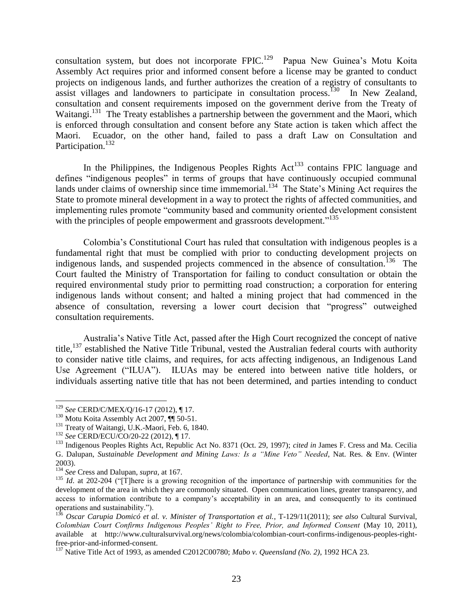consultation system, but does not incorporate  $FPIC<sup>129</sup>$  Papua New Guinea's Motu Koita Assembly Act requires prior and informed consent before a license may be granted to conduct projects on indigenous lands, and further authorizes the creation of a registry of consultants to assist villages and landowners to participate in consultation process.<sup>130</sup> In New Zealand, consultation and consent requirements imposed on the government derive from the Treaty of Waitangi.<sup>131</sup> The Treaty establishes a partnership between the government and the Maori, which is enforced through consultation and consent before any State action is taken which affect the Maori. Ecuador, on the other hand, failed to pass a draft Law on Consultation and Participation.<sup>132</sup>

In the Philippines, the Indigenous Peoples Rights  $Act^{133}$  contains FPIC language and defines "indigenous peoples" in terms of groups that have continuously occupied communal lands under claims of ownership since time immemorial.<sup>134</sup> The State's Mining Act requires the State to promote mineral development in a way to protect the rights of affected communities, and implementing rules promote "community based and community oriented development consistent with the principles of people empowerment and grassroots development."<sup>135</sup>

Colombia's Constitutional Court has ruled that consultation with indigenous peoples is a fundamental right that must be complied with prior to conducting development projects on indigenous lands, and suspended projects commenced in the absence of consultation.<sup>136</sup> The Court faulted the Ministry of Transportation for failing to conduct consultation or obtain the required environmental study prior to permitting road construction; a corporation for entering indigenous lands without consent; and halted a mining project that had commenced in the absence of consultation, reversing a lower court decision that "progress" outweighed consultation requirements.

Australia's Native Title Act, passed after the High Court recognized the concept of native title,<sup>137</sup> established the Native Title Tribunal, vested the Australian federal courts with authority to consider native title claims, and requires, for acts affecting indigenous, an Indigenous Land Use Agreement ("ILUA"). ILUAs may be entered into between native title holders, or individuals asserting native title that has not been determined, and parties intending to conduct

<sup>129</sup> *See* CERD/C/MEX/Q/16-17 (2012), ¶ 17.

 $130$  Motu Koita Assembly Act 2007,  $\P$  50-51.

<sup>&</sup>lt;sup>131</sup> Treaty of Waitangi, U.K.-Maori, Feb. 6, 1840.

<sup>132</sup> *See* CERD/ECU/CO/20-22 (2012), ¶ 17.

<sup>133</sup> Indigenous Peoples Rights Act, Republic Act No. 8371 (Oct. 29, 1997); *cited in* James F. Cress and Ma. Cecilia G. Dalupan, *Sustainable Development and Mining Laws: Is a "Mine Veto" Needed*, Nat. Res. & Env. (Winter 2003).

<sup>134</sup> *See* Cress and Dalupan, *supra*, at 167.

<sup>&</sup>lt;sup>135</sup> *Id.* at 202-204 ("T]here is a growing recognition of the importance of partnership with communities for the development of the area in which they are commonly situated. Open communication lines, greater transparency, and access to information contribute to a company's acceptability in an area, and consequently to its continued operations and sustainability.").

<sup>136</sup> *Oscar Carupia Domicó et al. v. Minister of Transportation et al.*, T-129/11(2011); *see also* Cultural Survival, *Colombian Court Confirms Indigenous Peoples' Right to Free, Prior, and Informed Consent* (May 10, 2011), available at http://www.culturalsurvival.org/news/colombia/colombian-court-confirms-indigenous-peoples-rightfree-prior-and-informed-consent.

<sup>137</sup> Native Title Act of 1993, as amended C2012C00780; *Mabo v. Queensland (No. 2)*, 1992 HCA 23.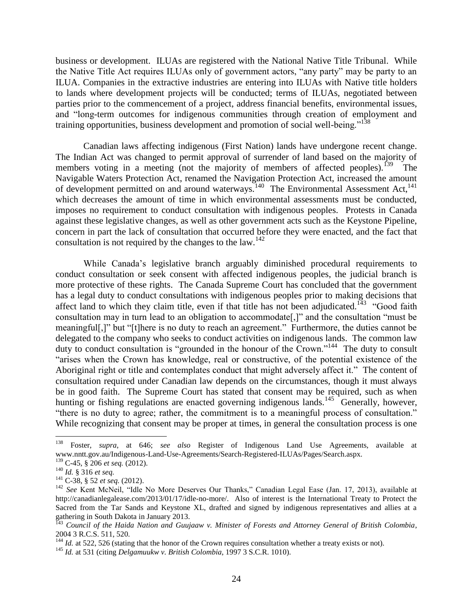business or development. ILUAs are registered with the National Native Title Tribunal. While the Native Title Act requires ILUAs only of government actors, "any party" may be party to an ILUA. Companies in the extractive industries are entering into ILUAs with Native title holders to lands where development projects will be conducted; terms of ILUAs, negotiated between parties prior to the commencement of a project, address financial benefits, environmental issues, and "long-term outcomes for indigenous communities through creation of employment and training opportunities, business development and promotion of social well-being."<sup>138</sup>

Canadian laws affecting indigenous (First Nation) lands have undergone recent change. The Indian Act was changed to permit approval of surrender of land based on the majority of members voting in a meeting (not the majority of members of affected peoples).<sup>139</sup> The Navigable Waters Protection Act, renamed the Navigation Protection Act, increased the amount of development permitted on and around waterways.<sup>140</sup> The Environmental Assessment Act,<sup>141</sup> which decreases the amount of time in which environmental assessments must be conducted, imposes no requirement to conduct consultation with indigenous peoples. Protests in Canada against these legislative changes, as well as other government acts such as the Keystone Pipeline, concern in part the lack of consultation that occurred before they were enacted, and the fact that consultation is not required by the changes to the law.<sup>142</sup>

While Canada's legislative branch arguably diminished procedural requirements to conduct consultation or seek consent with affected indigenous peoples, the judicial branch is more protective of these rights. The Canada Supreme Court has concluded that the government has a legal duty to conduct consultations with indigenous peoples prior to making decisions that affect land to which they claim title, even if that title has not been adjudicated.<sup>143</sup> "Good faith" consultation may in turn lead to an obligation to accommodate[,]" and the consultation "must be meaningful[,]" but "[t]here is no duty to reach an agreement." Furthermore, the duties cannot be delegated to the company who seeks to conduct activities on indigenous lands. The common law duty to conduct consultation is "grounded in the honour of the Crown."<sup>144</sup> The duty to consult "arises when the Crown has knowledge, real or constructive, of the potential existence of the Aboriginal right or title and contemplates conduct that might adversely affect it." The content of consultation required under Canadian law depends on the circumstances, though it must always be in good faith. The Supreme Court has stated that consent may be required, such as when hunting or fishing regulations are enacted governing indigenous lands.<sup>145</sup> Generally, however, "there is no duty to agree; rather, the commitment is to a meaningful process of consultation." While recognizing that consent may be proper at times, in general the consultation process is one

<sup>138</sup> <sup>138</sup> Foster, *supra*, at 646; *see also* Register of Indigenous Land Use Agreements, available at www.nntt.gov.au/Indigenous-Land-Use-Agreements/Search-Registered-ILUAs/Pages/Search.aspx.

<sup>139</sup> C-45, § 206 *et seq.* (2012).

<sup>140</sup> *Id.* § 316 *et seq.*

<sup>141</sup> C-38, § 52 *et seq.* (2012).

<sup>&</sup>lt;sup>142</sup> See Kent McNeil, "Idle No More Deserves Our Thanks," Canadian Legal Ease (Jan. 17, 2013), available at http://canadianlegalease.com/2013/01/17/idle-no-more/. Also of interest is the International Treaty to Protect the Sacred from the Tar Sands and Keystone XL, drafted and signed by indigenous representatives and allies at a gathering in South Dakota in January 2013.

<sup>143</sup> *Council of the Haida Nation and Guujaaw v. Minister of Forests and Attorney General of British Colombia*, 2004 3 R.C.S. 511, 520.

<sup>&</sup>lt;sup>144</sup> *Id.* at 522, 526 (stating that the honor of the Crown requires consultation whether a treaty exists or not).

<sup>145</sup> *Id.* at 531 (citing *Delgamuukw v. British Colombia*, 1997 3 S.C.R. 1010).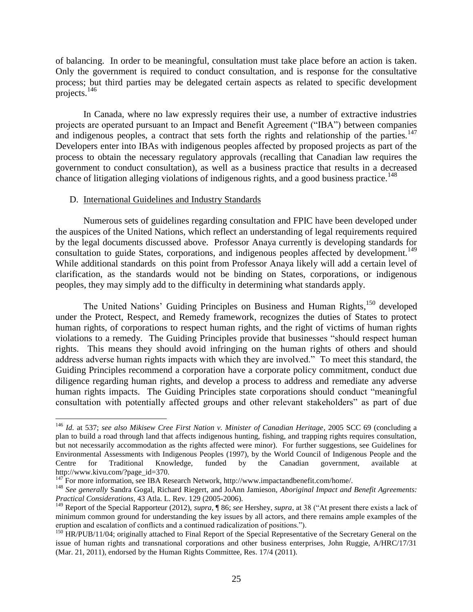of balancing. In order to be meaningful, consultation must take place before an action is taken. Only the government is required to conduct consultation, and is response for the consultative process; but third parties may be delegated certain aspects as related to specific development projects.<sup>146</sup>

In Canada, where no law expressly requires their use, a number of extractive industries projects are operated pursuant to an Impact and Benefit Agreement ("IBA") between companies and indigenous peoples, a contract that sets forth the rights and relationship of the parties.<sup>147</sup> Developers enter into IBAs with indigenous peoples affected by proposed projects as part of the process to obtain the necessary regulatory approvals (recalling that Canadian law requires the government to conduct consultation), as well as a business practice that results in a decreased chance of litigation alleging violations of indigenous rights, and a good business practice.<sup>148</sup>

#### D. International Guidelines and Industry Standards

 $\overline{a}$ 

Numerous sets of guidelines regarding consultation and FPIC have been developed under the auspices of the United Nations, which reflect an understanding of legal requirements required by the legal documents discussed above. Professor Anaya currently is developing standards for consultation to guide States, corporations, and indigenous peoples affected by development.<sup>149</sup> While additional standards on this point from Professor Anaya likely will add a certain level of clarification, as the standards would not be binding on States, corporations, or indigenous peoples, they may simply add to the difficulty in determining what standards apply.

The United Nations' Guiding Principles on Business and Human Rights,<sup>150</sup> developed under the Protect, Respect, and Remedy framework, recognizes the duties of States to protect human rights, of corporations to respect human rights, and the right of victims of human rights violations to a remedy. The Guiding Principles provide that businesses "should respect human rights. This means they should avoid infringing on the human rights of others and should address adverse human rights impacts with which they are involved." To meet this standard, the Guiding Principles recommend a corporation have a corporate policy commitment, conduct due diligence regarding human rights, and develop a process to address and remediate any adverse human rights impacts. The Guiding Principles state corporations should conduct "meaningful consultation with potentially affected groups and other relevant stakeholders" as part of due

<sup>146</sup> *Id.* at 537; *see also Mikisew Cree First Nation v. Minister of Canadian Heritage*, 2005 SCC 69 (concluding a plan to build a road through land that affects indigenous hunting, fishing, and trapping rights requires consultation, but not necessarily accommodation as the rights affected were minor). For further suggestions, see Guidelines for Environmental Assessments with Indigenous Peoples (1997), by the World Council of Indigenous People and the Centre for Traditional Knowledge, funded by the Canadian government, available at http://www.kivu.com/?page\_id=370.

 $147$  For more information, see IBA Research Network, http://www.impactandbenefit.com/home/.

<sup>148</sup> *See generally* Sandra Gogal, Richard Riegert, and JoAnn Jamieson, *Aboriginal Impact and Benefit Agreements: Practical Considerations*, 43 Atla. L. Rev. 129 (2005-2006).

<sup>149</sup> Report of the Special Rapporteur (2012), *supra*, ¶ 86; *see* Hershey, *supra*, at 38 ("At present there exists a lack of minimum common ground for understanding the key issues by all actors, and there remains ample examples of the eruption and escalation of conflicts and a continued radicalization of positions.").

<sup>&</sup>lt;sup>150</sup> HR/PUB/11/04; originally attached to Final Report of the Special Representative of the Secretary General on the issue of human rights and transnational corporations and other business enterprises, John Ruggie, A/HRC/17/31 (Mar. 21, 2011), endorsed by the Human Rights Committee, Res. 17/4 (2011).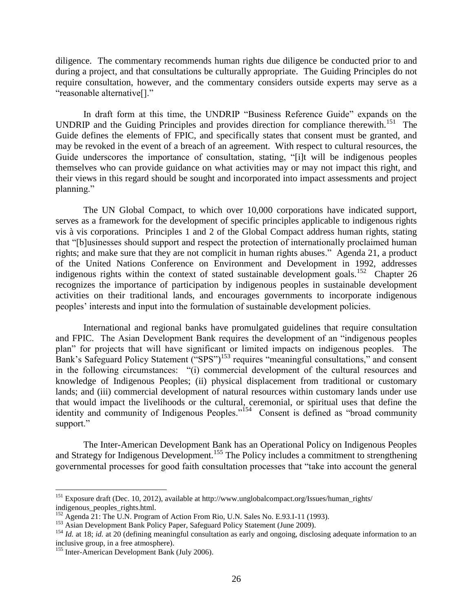diligence. The commentary recommends human rights due diligence be conducted prior to and during a project, and that consultations be culturally appropriate. The Guiding Principles do not require consultation, however, and the commentary considers outside experts may serve as a "reasonable alternative[]."

In draft form at this time, the UNDRIP "Business Reference Guide" expands on the UNDRIP and the Guiding Principles and provides direction for compliance therewith.<sup>151</sup> The Guide defines the elements of FPIC, and specifically states that consent must be granted, and may be revoked in the event of a breach of an agreement. With respect to cultural resources, the Guide underscores the importance of consultation, stating, "[i]t will be indigenous peoples themselves who can provide guidance on what activities may or may not impact this right, and their views in this regard should be sought and incorporated into impact assessments and project planning."

The UN Global Compact, to which over 10,000 corporations have indicated support, serves as a framework for the development of specific principles applicable to indigenous rights vis à vis corporations. Principles 1 and 2 of the Global Compact address human rights, stating that "[b]usinesses should support and respect the protection of internationally proclaimed human rights; and make sure that they are not complicit in human rights abuses." Agenda 21, a product of the United Nations Conference on Environment and Development in 1992, addresses indigenous rights within the context of stated sustainable development goals.<sup>152</sup> Chapter 26 recognizes the importance of participation by indigenous peoples in sustainable development activities on their traditional lands, and encourages governments to incorporate indigenous peoples' interests and input into the formulation of sustainable development policies.

International and regional banks have promulgated guidelines that require consultation and FPIC. The Asian Development Bank requires the development of an "indigenous peoples plan" for projects that will have significant or limited impacts on indigenous peoples. The Bank's Safeguard Policy Statement ("SPS")<sup>153</sup> requires "meaningful consultations," and consent in the following circumstances: "(i) commercial development of the cultural resources and knowledge of Indigenous Peoples; (ii) physical displacement from traditional or customary lands; and (iii) commercial development of natural resources within customary lands under use that would impact the livelihoods or the cultural, ceremonial, or spiritual uses that define the identity and community of Indigenous Peoples."<sup>154</sup> Consent is defined as "broad community support."

The Inter-American Development Bank has an Operational Policy on Indigenous Peoples and Strategy for Indigenous Development.<sup>155</sup> The Policy includes a commitment to strengthening governmental processes for good faith consultation processes that "take into account the general

<sup>&</sup>lt;sup>151</sup> Exposure draft (Dec. 10, 2012), available at http://www.unglobalcompact.org/Issues/human\_rights/ indigenous\_peoples\_rights.html.

 $^{152}$  Agenda 21: The U.N. Program of Action From Rio, U.N. Sales No. E.93.I-11 (1993).

<sup>&</sup>lt;sup>153</sup> Asian Development Bank Policy Paper, Safeguard Policy Statement (June 2009).

<sup>&</sup>lt;sup>154</sup> *Id.* at 18; *id.* at 20 (defining meaningful consultation as early and ongoing, disclosing adequate information to an inclusive group, in a free atmosphere).

<sup>&</sup>lt;sup>155</sup> Inter-American Development Bank (July 2006).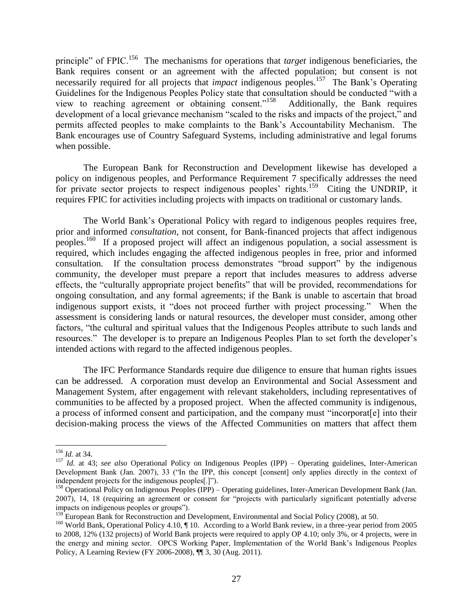principle" of FPIC.<sup>156</sup> The mechanisms for operations that *target* indigenous beneficiaries, the Bank requires consent or an agreement with the affected population; but consent is not necessarily required for all projects that *impact* indigenous peoples.<sup>157</sup> The Bank's Operating Guidelines for the Indigenous Peoples Policy state that consultation should be conducted "with a view to reaching agreement or obtaining consent."<sup>158</sup> Additionally, the Bank requires development of a local grievance mechanism "scaled to the risks and impacts of the project," and permits affected peoples to make complaints to the Bank's Accountability Mechanism. The Bank encourages use of Country Safeguard Systems, including administrative and legal forums when possible.

The European Bank for Reconstruction and Development likewise has developed a policy on indigenous peoples, and Performance Requirement 7 specifically addresses the need for private sector projects to respect indigenous peoples' rights.<sup>159</sup> Citing the UNDRIP, it requires FPIC for activities including projects with impacts on traditional or customary lands.

The World Bank's Operational Policy with regard to indigenous peoples requires free, prior and informed *consultation*, not consent, for Bank-financed projects that affect indigenous peoples.<sup>160</sup> If a proposed project will affect an indigenous population, a social assessment is required, which includes engaging the affected indigenous peoples in free, prior and informed consultation. If the consultation process demonstrates "broad support" by the indigenous community, the developer must prepare a report that includes measures to address adverse effects, the "culturally appropriate project benefits" that will be provided, recommendations for ongoing consultation, and any formal agreements; if the Bank is unable to ascertain that broad indigenous support exists, it "does not proceed further with project processing." When the assessment is considering lands or natural resources, the developer must consider, among other factors, "the cultural and spiritual values that the Indigenous Peoples attribute to such lands and resources." The developer is to prepare an Indigenous Peoples Plan to set forth the developer's intended actions with regard to the affected indigenous peoples.

The IFC Performance Standards require due diligence to ensure that human rights issues can be addressed. A corporation must develop an Environmental and Social Assessment and Management System, after engagement with relevant stakeholders, including representatives of communities to be affected by a proposed project. When the affected community is indigenous, a process of informed consent and participation, and the company must "incorporat[e] into their decision-making process the views of the Affected Communities on matters that affect them

<sup>156</sup> *Id.* at 34.

<sup>157</sup> *Id.* at 43; *see also* Operational Policy on Indigenous Peoples (IPP) – Operating guidelines, Inter-American Development Bank (Jan. 2007), 33 ("In the IPP, this concept [consent] only applies directly in the context of independent projects for the indigenous peoples[.]").

<sup>&</sup>lt;sup>158</sup> Operational Policy on Indigenous Peoples (IPP) – Operating guidelines, Inter-American Development Bank (Jan. 2007), 14, 18 (requiring an agreement or consent for "projects with particularly significant potentially adverse impacts on indigenous peoples or groups").

<sup>&</sup>lt;sup>159</sup> European Bank for Reconstruction and Development, Environmental and Social Policy (2008), at 50.

<sup>&</sup>lt;sup>160</sup> World Bank, Operational Policy 4.10, ¶ 10. According to a World Bank review, in a three-year period from 2005 to 2008, 12% (132 projects) of World Bank projects were required to apply OP 4.10; only 3%, or 4 projects, were in the energy and mining sector. OPCS Working Paper, Implementation of the World Bank's Indigenous Peoples Policy, A Learning Review (FY 2006-2008), ¶¶ 3, 30 (Aug. 2011).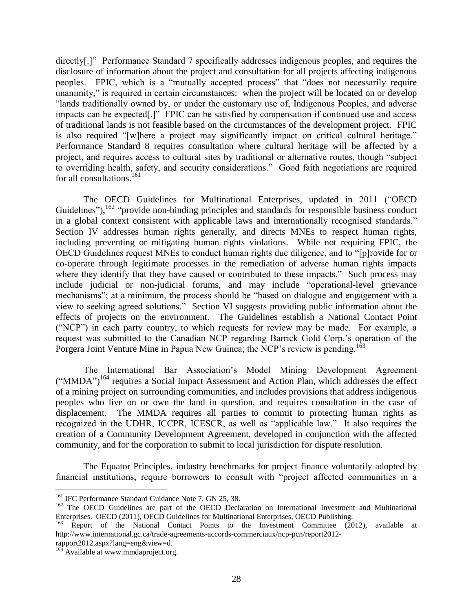directly[.]" Performance Standard 7 specifically addresses indigenous peoples, and requires the disclosure of information about the project and consultation for all projects affecting indigenous peoples. FPIC, which is a "mutually accepted process" that "does not necessarily require unanimity," is required in certain circumstances: when the project will be located on or develop "lands traditionally owned by, or under the customary use of, Indigenous Peoples, and adverse impacts can be expected[.]" FPIC can be satisfied by compensation if continued use and access of traditional lands is not feasible based on the circumstances of the development project. FPIC is also required "[w]here a project may significantly impact on critical cultural heritage." Performance Standard 8 requires consultation where cultural heritage will be affected by a project, and requires access to cultural sites by traditional or alternative routes, though "subject to overriding health, safety, and security considerations." Good faith negotiations are required for all consultations.<sup>161</sup>

The OECD Guidelines for Multinational Enterprises, updated in 2011 ("OECD Guidelines"),  $162$  "provide non-binding principles and standards for responsible business conduct in a global context consistent with applicable laws and internationally recognised standards." Section IV addresses human rights generally, and directs MNEs to respect human rights, including preventing or mitigating human rights violations. While not requiring FPIC, the OECD Guidelines request MNEs to conduct human rights due diligence, and to "[p]rovide for or co-operate through legitimate processes in the remediation of adverse human rights impacts where they identify that they have caused or contributed to these impacts." Such process may include judicial or non-judicial forums, and may include "operational-level grievance mechanisms"; at a minimum, the process should be "based on dialogue and engagement with a view to seeking agreed solutions." Section VI suggests providing public information about the effects of projects on the environment. The Guidelines establish a National Contact Point ("NCP") in each party country, to which requests for review may be made. For example, a request was submitted to the Canadian NCP regarding Barrick Gold Corp.'s operation of the Porgera Joint Venture Mine in Papua New Guinea; the NCP's review is pending.<sup>163</sup>

The International Bar Association's Model Mining Development Agreement  $('MMDA")^{164}$  requires a Social Impact Assessment and Action Plan, which addresses the effect of a mining project on surrounding communities, and includes provisions that address indigenous peoples who live on or own the land in question, and requires consultation in the case of displacement. The MMDA requires all parties to commit to protecting human rights as recognized in the UDHR, ICCPR, ICESCR, as well as "applicable law." It also requires the creation of a Community Development Agreement, developed in conjunction with the affected community, and for the corporation to submit to local jurisdiction for dispute resolution.

The Equator Principles, industry benchmarks for project finance voluntarily adopted by financial institutions, require borrowers to consult with "project affected communities in a

<sup>&</sup>lt;sup>161</sup> IFC Performance Standard Guidance Note 7, GN 25, 38.

<sup>&</sup>lt;sup>162</sup> The OECD Guidelines are part of the OECD Declaration on International Investment and Multinational Enterprises. OECD (2011), OECD Guidelines for Multinational Enterprises, OECD Publishing.

<sup>&</sup>lt;sup>163</sup> Report of the National Contact Points to the Investment Committee (2012), available at http://www.international.gc.ca/trade-agreements-accords-commerciaux/ncp-pcn/report2012-

rapport2012.aspx?lang=eng&view=d.

<sup>&</sup>lt;sup>164</sup> Available at www.mmdaproject.org.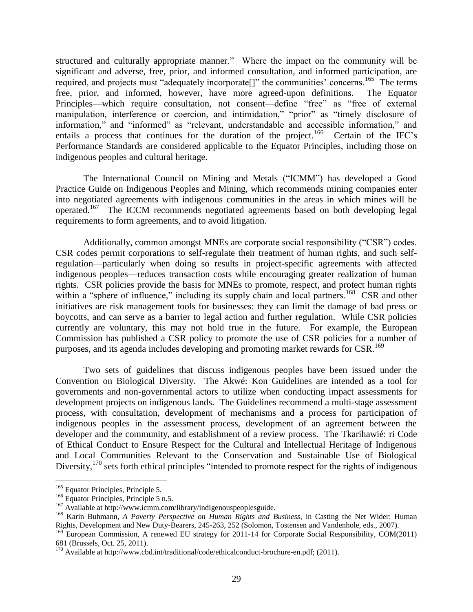structured and culturally appropriate manner." Where the impact on the community will be significant and adverse, free, prior, and informed consultation, and informed participation, are required, and projects must "adequately incorporate<sup>[]"</sup> the communities' concerns.<sup>165</sup> The terms free, prior, and informed, however, have more agreed-upon definitions. The Equator Principles—which require consultation, not consent—define "free" as "free of external manipulation, interference or coercion, and intimidation," "prior" as "timely disclosure of information," and "informed" as "relevant, understandable and accessible information," and entails a process that continues for the duration of the project.<sup>166</sup> Certain of the IFC's Performance Standards are considered applicable to the Equator Principles, including those on indigenous peoples and cultural heritage.

The International Council on Mining and Metals ("ICMM") has developed a Good Practice Guide on Indigenous Peoples and Mining, which recommends mining companies enter into negotiated agreements with indigenous communities in the areas in which mines will be operated.<sup>167</sup> The ICCM recommends negotiated agreements based on both developing legal requirements to form agreements, and to avoid litigation.

Additionally, common amongst MNEs are corporate social responsibility ("CSR") codes. CSR codes permit corporations to self-regulate their treatment of human rights, and such selfregulation—particularly when doing so results in project-specific agreements with affected indigenous peoples—reduces transaction costs while encouraging greater realization of human rights. CSR policies provide the basis for MNEs to promote, respect, and protect human rights within a "sphere of influence," including its supply chain and local partners.<sup>168</sup> CSR and other initiatives are risk management tools for businesses: they can limit the damage of bad press or boycotts, and can serve as a barrier to legal action and further regulation. While CSR policies currently are voluntary, this may not hold true in the future. For example, the European Commission has published a CSR policy to promote the use of CSR policies for a number of purposes, and its agenda includes developing and promoting market rewards for CSR.<sup>169</sup>

Two sets of guidelines that discuss indigenous peoples have been issued under the Convention on Biological Diversity. The Akwé: Kon Guidelines are intended as a tool for governments and non-governmental actors to utilize when conducting impact assessments for development projects on indigenous lands. The Guidelines recommend a multi-stage assessment process, with consultation, development of mechanisms and a process for participation of indigenous peoples in the assessment process, development of an agreement between the developer and the community, and establishment of a review process. The Tkarihawié: ri Code of Ethical Conduct to Ensure Respect for the Cultural and Intellectual Heritage of Indigenous and Local Communities Relevant to the Conservation and Sustainable Use of Biological Diversity,<sup>170</sup> sets forth ethical principles "intended to promote respect for the rights of indigenous

<sup>&</sup>lt;sup>165</sup> Equator Principles, Principle 5.

<sup>&</sup>lt;sup>166</sup> Equator Principles, Principle 5 n.5.

<sup>&</sup>lt;sup>167</sup> Available at http://www.icmm.com/library/indigenouspeoplesguide.

<sup>168</sup> Karin Buhmann, *A Poverty Perspective on Human Rights and Business*, in Casting the Net Wider: Human Rights, Development and New Duty-Bearers, 245-263, 252 (Solomon, Tostensen and Vandenhole, eds., 2007).

<sup>&</sup>lt;sup>169</sup> European Commission, A renewed EU strategy for 2011-14 for Corporate Social Responsibility, COM(2011) 681 (Brussels, Oct. 25, 2011).

 $170$  Available at http://www.cbd.int/traditional/code/ethicalconduct-brochure-en.pdf; (2011).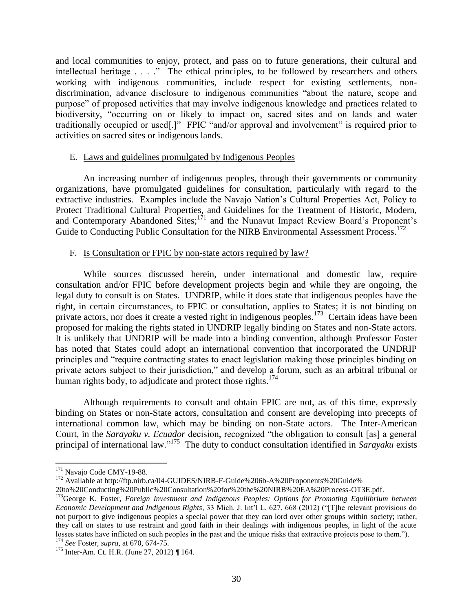and local communities to enjoy, protect, and pass on to future generations, their cultural and intellectual heritage . . . ." The ethical principles, to be followed by researchers and others working with indigenous communities, include respect for existing settlements, nondiscrimination, advance disclosure to indigenous communities "about the nature, scope and purpose" of proposed activities that may involve indigenous knowledge and practices related to biodiversity, "occurring on or likely to impact on, sacred sites and on lands and water traditionally occupied or used[.]" FPIC "and/or approval and involvement" is required prior to activities on sacred sites or indigenous lands.

### E. Laws and guidelines promulgated by Indigenous Peoples

An increasing number of indigenous peoples, through their governments or community organizations, have promulgated guidelines for consultation, particularly with regard to the extractive industries. Examples include the Navajo Nation's Cultural Properties Act, Policy to Protect Traditional Cultural Properties, and Guidelines for the Treatment of Historic, Modern, and Contemporary Abandoned Sites;<sup>171</sup> and the Nunavut Impact Review Board's Proponent's Guide to Conducting Public Consultation for the NIRB Environmental Assessment Process.<sup>172</sup>

## F. Is Consultation or FPIC by non-state actors required by law?

While sources discussed herein, under international and domestic law, require consultation and/or FPIC before development projects begin and while they are ongoing, the legal duty to consult is on States. UNDRIP, while it does state that indigenous peoples have the right, in certain circumstances, to FPIC or consultation, applies to States; it is not binding on private actors, nor does it create a vested right in indigenous peoples.<sup>173</sup> Certain ideas have been proposed for making the rights stated in UNDRIP legally binding on States and non-State actors. It is unlikely that UNDRIP will be made into a binding convention, although Professor Foster has noted that States could adopt an international convention that incorporated the UNDRIP principles and "require contracting states to enact legislation making those principles binding on private actors subject to their jurisdiction," and develop a forum, such as an arbitral tribunal or human rights body, to adjudicate and protect those rights.<sup>174</sup>

Although requirements to consult and obtain FPIC are not, as of this time, expressly binding on States or non-State actors, consultation and consent are developing into precepts of international common law, which may be binding on non-State actors. The Inter-American Court, in the *Sarayaku v. Ecuador* decision, recognized "the obligation to consult [as] a general principal of international law." 175 The duty to conduct consultation identified in *Sarayaku* exists

 $\overline{a}$ <sup>171</sup> Navajo Code CMY-19-88.

<sup>&</sup>lt;sup>172</sup> Available at http://ftp.nirb.ca/04-GUIDES/NIRB-F-Guide%206b-A%20Proponents%20Guide%

<sup>20</sup>to%20Conducting%20Public%20Consultation%20for%20the%20NIRB%20EA%20Process-OT3E.pdf.

<sup>&</sup>lt;sup>173</sup>George K. Foster, *Foreign Investment and Indigenous Peoples: Options for Promoting Equilibrium between Economic Development and Indigenous Rights*, 33 Mich. J. Int'l L. 627, 668 (2012) ("[T]he relevant provisions do not purport to give indigenous peoples a special power that they can lord over other groups within society; rather, they call on states to use restraint and good faith in their dealings with indigenous peoples, in light of the acute losses states have inflicted on such peoples in the past and the unique risks that extractive projects pose to them.").

<sup>174</sup> *See* Foster, *supra*, at 670, 674-75.

<sup>175</sup> Inter-Am. Ct. H.R. (June 27, 2012) ¶ 164.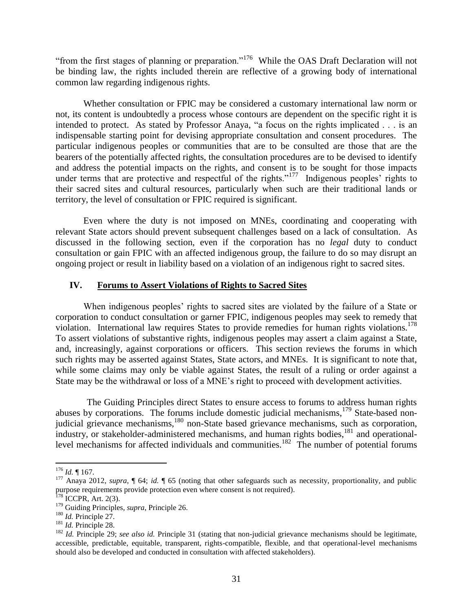"from the first stages of planning or preparation."<sup>176</sup> While the OAS Draft Declaration will not be binding law, the rights included therein are reflective of a growing body of international common law regarding indigenous rights.

Whether consultation or FPIC may be considered a customary international law norm or not, its content is undoubtedly a process whose contours are dependent on the specific right it is intended to protect. As stated by Professor Anaya, "a focus on the rights implicated . . . is an indispensable starting point for devising appropriate consultation and consent procedures. The particular indigenous peoples or communities that are to be consulted are those that are the bearers of the potentially affected rights, the consultation procedures are to be devised to identify and address the potential impacts on the rights, and consent is to be sought for those impacts under terms that are protective and respectful of the rights."<sup>177</sup> Indigenous peoples' rights to their sacred sites and cultural resources, particularly when such are their traditional lands or territory, the level of consultation or FPIC required is significant.

Even where the duty is not imposed on MNEs, coordinating and cooperating with relevant State actors should prevent subsequent challenges based on a lack of consultation. As discussed in the following section, even if the corporation has no *legal* duty to conduct consultation or gain FPIC with an affected indigenous group, the failure to do so may disrupt an ongoing project or result in liability based on a violation of an indigenous right to sacred sites.

## **IV. Forums to Assert Violations of Rights to Sacred Sites**

When indigenous peoples' rights to sacred sites are violated by the failure of a State or corporation to conduct consultation or garner FPIC, indigenous peoples may seek to remedy that violation. International law requires States to provide remedies for human rights violations.<sup>178</sup> To assert violations of substantive rights, indigenous peoples may assert a claim against a State, and, increasingly, against corporations or officers. This section reviews the forums in which such rights may be asserted against States, State actors, and MNEs. It is significant to note that, while some claims may only be viable against States, the result of a ruling or order against a State may be the withdrawal or loss of a MNE's right to proceed with development activities.

The Guiding Principles direct States to ensure access to forums to address human rights abuses by corporations. The forums include domestic judicial mechanisms,<sup>179</sup> State-based nonjudicial grievance mechanisms,<sup>180</sup> non-State based grievance mechanisms, such as corporation, industry, or stakeholder-administered mechanisms, and human rights bodies,  $^{181}$  and operationallevel mechanisms for affected individuals and communities.<sup>182</sup> The number of potential forums

 $\overline{a}$ <sup>176</sup> *Id.* ¶ 167.

<sup>177</sup> Anaya 2012, *supra*, ¶ 64; *id.* ¶ 65 (noting that other safeguards such as necessity, proportionality, and public purpose requirements provide protection even where consent is not required).

 $178$  ICCPR, Art. 2(3).

<sup>179</sup> Guiding Principles, *supra*, Principle 26.

<sup>180</sup> *Id.* Principle 27.

<sup>181</sup> *Id.* Principle 28.

<sup>&</sup>lt;sup>182</sup> *Id.* Principle 29; see also id. Principle 31 (stating that non-judicial grievance mechanisms should be legitimate, accessible, predictable, equitable, transparent, rights-compatible, flexible, and that operational-level mechanisms should also be developed and conducted in consultation with affected stakeholders).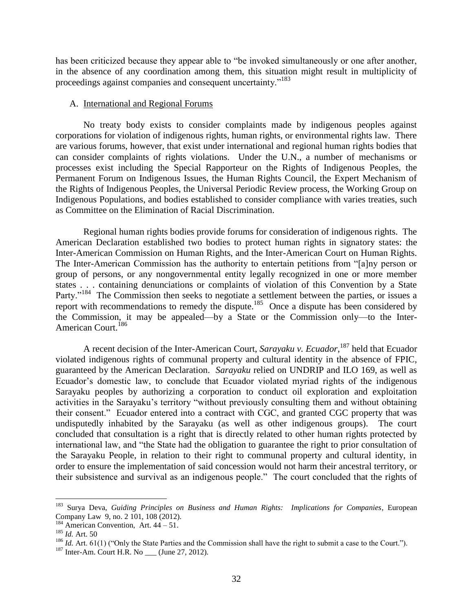has been criticized because they appear able to "be invoked simultaneously or one after another, in the absence of any coordination among them, this situation might result in multiplicity of proceedings against companies and consequent uncertainty."<sup>183</sup>

#### A. International and Regional Forums

No treaty body exists to consider complaints made by indigenous peoples against corporations for violation of indigenous rights, human rights, or environmental rights law. There are various forums, however, that exist under international and regional human rights bodies that can consider complaints of rights violations. Under the U.N., a number of mechanisms or processes exist including the Special Rapporteur on the Rights of Indigenous Peoples, the Permanent Forum on Indigenous Issues, the Human Rights Council, the Expert Mechanism of the Rights of Indigenous Peoples, the Universal Periodic Review process, the Working Group on Indigenous Populations, and bodies established to consider compliance with varies treaties, such as Committee on the Elimination of Racial Discrimination.

Regional human rights bodies provide forums for consideration of indigenous rights. The American Declaration established two bodies to protect human rights in signatory states: the Inter-American Commission on Human Rights, and the Inter-American Court on Human Rights. The Inter-American Commission has the authority to entertain petitions from "[a]ny person or group of persons, or any nongovernmental entity legally recognized in one or more member states . . . containing denunciations or complaints of violation of this Convention by a State Party."<sup>184</sup> The Commission then seeks to negotiate a settlement between the parties, or issues a report with recommendations to remedy the dispute.<sup>185</sup> Once a dispute has been considered by the Commission, it may be appealed—by a State or the Commission only—to the Inter-American Court.<sup>186</sup>

A recent decision of the Inter-American Court, *Sarayaku v. Ecuador*, <sup>187</sup> held that Ecuador violated indigenous rights of communal property and cultural identity in the absence of FPIC, guaranteed by the American Declaration. *Sarayaku* relied on UNDRIP and ILO 169, as well as Ecuador's domestic law, to conclude that Ecuador violated myriad rights of the indigenous Sarayaku peoples by authorizing a corporation to conduct oil exploration and exploitation activities in the Sarayaku's territory "without previously consulting them and without obtaining their consent." Ecuador entered into a contract with CGC, and granted CGC property that was undisputedly inhabited by the Sarayaku (as well as other indigenous groups). The court concluded that consultation is a right that is directly related to other human rights protected by international law, and "the State had the obligation to guarantee the right to prior consultation of the Sarayaku People, in relation to their right to communal property and cultural identity, in order to ensure the implementation of said concession would not harm their ancestral territory, or their subsistence and survival as an indigenous people." The court concluded that the rights of

<sup>183</sup> Surya Deva, *Guiding Principles on Business and Human Rights: Implications for Companies*, European Company Law 9, no. 2 101, 108 (2012).

 $184$  American Convention, Art.  $44 - 51$ .

<sup>&</sup>lt;sup>185</sup> *Id.* Art. 50

<sup>&</sup>lt;sup>186</sup> *Id.* Art. 61(1) ("Only the State Parties and the Commission shall have the right to submit a case to the Court.").

 $187$  Inter-Am. Court H.R. No \_\_\_ (June 27, 2012).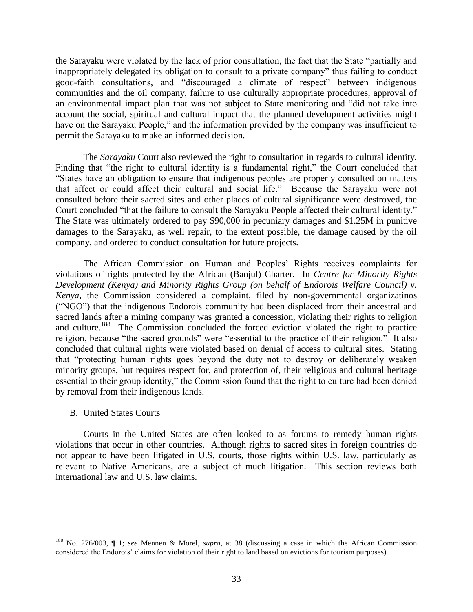the Sarayaku were violated by the lack of prior consultation, the fact that the State "partially and inappropriately delegated its obligation to consult to a private company" thus failing to conduct good-faith consultations, and "discouraged a climate of respect" between indigenous communities and the oil company, failure to use culturally appropriate procedures, approval of an environmental impact plan that was not subject to State monitoring and "did not take into account the social, spiritual and cultural impact that the planned development activities might have on the Sarayaku People," and the information provided by the company was insufficient to permit the Sarayaku to make an informed decision.

The *Sarayaku* Court also reviewed the right to consultation in regards to cultural identity. Finding that "the right to cultural identity is a fundamental right," the Court concluded that "States have an obligation to ensure that indigenous peoples are properly consulted on matters that affect or could affect their cultural and social life." Because the Sarayaku were not consulted before their sacred sites and other places of cultural significance were destroyed, the Court concluded "that the failure to consult the Sarayaku People affected their cultural identity." The State was ultimately ordered to pay \$90,000 in pecuniary damages and \$1.25M in punitive damages to the Sarayaku, as well repair, to the extent possible, the damage caused by the oil company, and ordered to conduct consultation for future projects.

The African Commission on Human and Peoples' Rights receives complaints for violations of rights protected by the African (Banjul) Charter. In *Centre for Minority Rights Development (Kenya) and Minority Rights Group (on behalf of Endorois Welfare Council) v. Kenya*, the Commission considered a complaint, filed by non-governmental organizatinos ("NGO") that the indigenous Endorois community had been displaced from their ancestral and sacred lands after a mining company was granted a concession, violating their rights to religion and culture.<sup>188</sup> The Commission concluded the forced eviction violated the right to practice religion, because "the sacred grounds" were "essential to the practice of their religion." It also concluded that cultural rights were violated based on denial of access to cultural sites. Stating that "protecting human rights goes beyond the duty not to destroy or deliberately weaken minority groups, but requires respect for, and protection of, their religious and cultural heritage essential to their group identity," the Commission found that the right to culture had been denied by removal from their indigenous lands.

## B. United States Courts

 $\overline{a}$ 

Courts in the United States are often looked to as forums to remedy human rights violations that occur in other countries. Although rights to sacred sites in foreign countries do not appear to have been litigated in U.S. courts, those rights within U.S. law, particularly as relevant to Native Americans, are a subject of much litigation. This section reviews both international law and U.S. law claims.

<sup>188</sup> No. 276/003, ¶ 1; *see* Mennen & Morel, *supra*, at 38 (discussing a case in which the African Commission considered the Endorois' claims for violation of their right to land based on evictions for tourism purposes).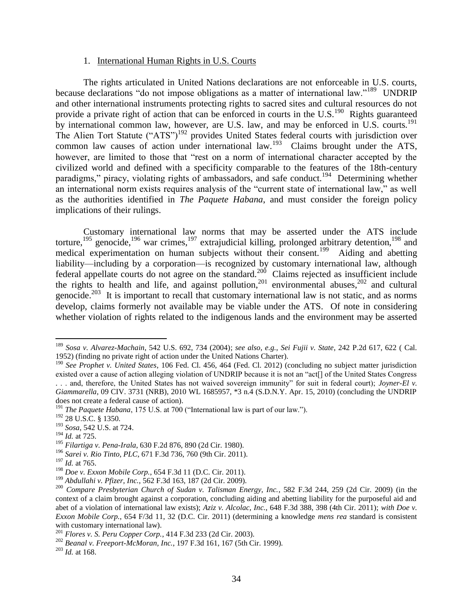#### 1. International Human Rights in U.S. Courts

The rights articulated in United Nations declarations are not enforceable in U.S. courts, because declarations "do not impose obligations as a matter of international law."<sup>189</sup> UNDRIP and other international instruments protecting rights to sacred sites and cultural resources do not provide a private right of action that can be enforced in courts in the U.S.<sup>190</sup> Rights guaranteed by international common law, however, are U.S. law, and may be enforced in U.S. courts.<sup>191</sup> The Alien Tort Statute ("ATS")<sup>192</sup> provides United States federal courts with jurisdiction over common law causes of action under international law.<sup>193</sup> Claims brought under the ATS, however, are limited to those that "rest on a norm of international character accepted by the civilized world and defined with a specificity comparable to the features of the 18th-century paradigms," piracy, violating rights of ambassadors, and safe conduct.<sup>194</sup> Determining whether an international norm exists requires analysis of the "current state of international law," as well as the authorities identified in *The Paquete Habana*, and must consider the foreign policy implications of their rulings.

Customary international law norms that may be asserted under the ATS include torture,<sup>195</sup> genocide,<sup>196</sup> war crimes,<sup>197</sup> extrajudicial killing, prolonged arbitrary detention,<sup>198</sup> and medical experimentation on human subjects without their consent.<sup>199</sup> Aiding and abetting liability—including by a corporation—is recognized by customary international law, although federal appellate courts do not agree on the standard.<sup>200</sup> Claims rejected as insufficient include the rights to health and life, and against pollution,<sup>201</sup> environmental abuses,<sup>202</sup> and cultural genocide.<sup>203</sup> It is important to recall that customary international law is not static, and as norms develop, claims formerly not available may be viable under the ATS. Of note in considering whether violation of rights related to the indigenous lands and the environment may be asserted

<sup>189</sup> *Sosa v. Alvarez-Machain*, 542 U.S. 692, 734 (2004); *see also*, *e.g.*, *Sei Fujii v. State*, 242 P.2d 617, 622 ( Cal. 1952) (finding no private right of action under the United Nations Charter).

<sup>&</sup>lt;sup>190</sup> See Prophet v. United States, 106 Fed. Cl. 456, 464 (Fed. Cl. 2012) (concluding no subject matter jurisdiction existed over a cause of action alleging violation of UNDRIP because it is not an "act[] of the United States Congress . . . and, therefore, the United States has not waived sovereign immunity" for suit in federal court); *Joyner-El v. Giammarella*, 09 CIV. 3731 (NRB), 2010 WL 1685957, \*3 n.4 (S.D.N.Y. Apr. 15, 2010) (concluding the UNDRIP does not create a federal cause of action).

<sup>191</sup> *The Paquete Habana*, 175 U.S. at 700 ("International law is part of our law.").

<sup>192</sup> 28 U.S.C. § 1350.

<sup>193</sup> *Sosa*, 542 U.S. at 724.

<sup>194</sup> *Id.* at 725.

<sup>195</sup> *Filartiga v. Pena-Irala*, 630 F.2d 876, 890 (2d Cir. 1980).

<sup>196</sup> *Sarei v. Rio Tinto, PLC*, 671 F.3d 736, 760 (9th Cir. 2011).

<sup>197</sup> *Id.* at 765.

<sup>198</sup> *Doe v. Exxon Mobile Corp.*, 654 F.3d 11 (D.C. Cir. 2011).

<sup>199</sup> *Abdullahi v. Pfizer, Inc.*, 562 F.3d 163, 187 (2d Cir. 2009).

<sup>200</sup> *Compare Presbyterian Church of Sudan v. Talisman Energy, Inc.*, 582 F.3d 244, 259 (2d Cir. 2009) (in the context of a claim brought against a corporation, concluding aiding and abetting liability for the purposeful aid and abet of a violation of international law exists); *Aziz v. Alcolac, Inc.*, 648 F.3d 388, 398 (4th Cir. 2011); *with Doe v. Exxon Mobile Corp.*, 654 F/3d 11, 32 (D.C. Cir. 2011) (determining a knowledge *mens rea* standard is consistent with customary international law).

<sup>201</sup> *Flores v. S. Peru Copper Corp.*, 414 F.3d 233 (2d Cir. 2003).

<sup>202</sup> *Beanal v. Freeport-McMoran, Inc.*, 197 F.3d 161, 167 (5th Cir. 1999).

<sup>203</sup> *Id.* at 168.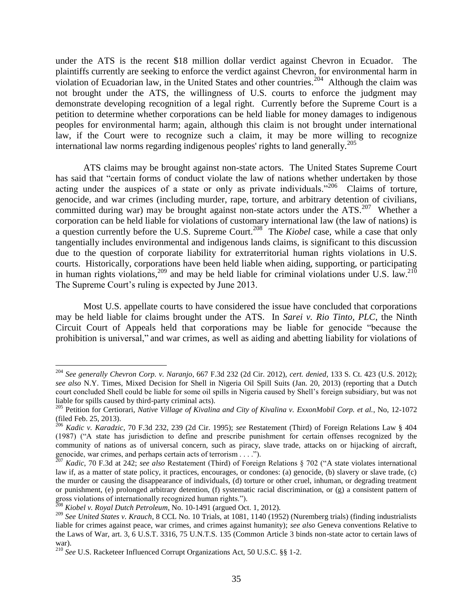under the ATS is the recent \$18 million dollar verdict against Chevron in Ecuador. The plaintiffs currently are seeking to enforce the verdict against Chevron, for environmental harm in violation of Ecuadorian law, in the United States and other countries.<sup>204</sup> Although the claim was not brought under the ATS, the willingness of U.S. courts to enforce the judgment may demonstrate developing recognition of a legal right. Currently before the Supreme Court is a petition to determine whether corporations can be held liable for money damages to indigenous peoples for environmental harm; again, although this claim is not brought under international law, if the Court were to recognize such a claim, it may be more willing to recognize international law norms regarding indigenous peoples' rights to land generally.<sup>205</sup>

ATS claims may be brought against non-state actors. The United States Supreme Court has said that "certain forms of conduct violate the law of nations whether undertaken by those acting under the auspices of a state or only as private individuals."<sup>206</sup> Claims of torture, genocide, and war crimes (including murder, rape, torture, and arbitrary detention of civilians, committed during war) may be brought against non-state actors under the  $ATS$ .<sup>207</sup> Whether a corporation can be held liable for violations of customary international law (the law of nations) is a question currently before the U.S. Supreme Court.<sup>208</sup> The *Kiobel* case, while a case that only tangentially includes environmental and indigenous lands claims, is significant to this discussion due to the question of corporate liability for extraterritorial human rights violations in U.S. courts. Historically, corporations have been held liable when aiding, supporting, or participating in human rights violations,  $209$  and may be held liable for criminal violations under U.S. law.  $210$ The Supreme Court's ruling is expected by June 2013.

Most U.S. appellate courts to have considered the issue have concluded that corporations may be held liable for claims brought under the ATS. In *Sarei v. Rio Tinto, PLC*, the Ninth Circuit Court of Appeals held that corporations may be liable for genocide "because the prohibition is universal," and war crimes, as well as aiding and abetting liability for violations of

<sup>204</sup> *See generally Chevron Corp. v. Naranjo*, 667 F.3d 232 (2d Cir. 2012), *cert. denied*, 133 S. Ct. 423 (U.S. 2012); *see also* N.Y. Times, Mixed Decision for Shell in Nigeria Oil Spill Suits (Jan. 20, 2013) (reporting that a Dutch court concluded Shell could be liable for some oil spills in Nigeria caused by Shell's foreign subsidiary, but was not liable for spills caused by third-party criminal acts).

<sup>205</sup> Petition for Certiorari, *Native Village of Kivalina and City of Kivalina v. ExxonMobil Corp. et al.*, No, 12-1072 (filed Feb. 25, 2013).

<sup>206</sup> *Kadic v. Karadzic*, 70 F.3d 232, 239 (2d Cir. 1995); *see* Restatement (Third) of Foreign Relations Law § 404 (1987) ("A state has jurisdiction to define and prescribe punishment for certain offenses recognized by the community of nations as of universal concern, such as piracy, slave trade, attacks on or hijacking of aircraft, genocide, war crimes, and perhaps certain acts of terrorism . . . .").

<sup>207</sup> *Kadic*, 70 F.3d at 242; *see also* Restatement (Third) of Foreign Relations § 702 ("A state violates international law if, as a matter of state policy, it practices, encourages, or condones: (a) genocide, (b) slavery or slave trade, (c) the murder or causing the disappearance of individuals, (d) torture or other cruel, inhuman, or degrading treatment or punishment, (e) prolonged arbitrary detention, (f) systematic racial discrimination, or (g) a consistent pattern of gross violations of internationally recognized human rights.").

<sup>208</sup> *Kiobel v. Royal Dutch Petroleum*, No. 10-1491 (argued Oct. 1, 2012).

<sup>209</sup> *See United States v. Krauch*, 8 CCL No. 10 Trials, at 1081, 1140 (1952) (Nuremberg trials) (finding industrialists liable for crimes against peace, war crimes, and crimes against humanity); *see also* Geneva conventions Relative to the Laws of War, art. 3, 6 U.S.T. 3316, 75 U.N.T.S. 135 (Common Article 3 binds non-state actor to certain laws of war).

<sup>210</sup> *See* U.S. Racketeer Influenced Corrupt Organizations Act, 50 U.S.C. §§ 1-2.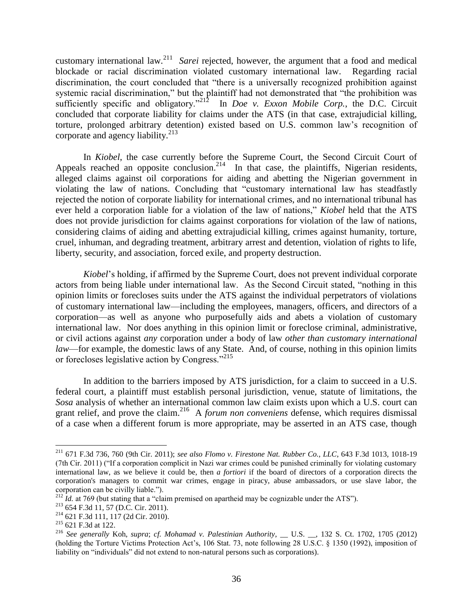customary international law.<sup>211</sup> *Sarei* rejected, however, the argument that a food and medical blockade or racial discrimination violated customary international law. Regarding racial discrimination, the court concluded that "there is a universally recognized prohibition against systemic racial discrimination," but the plaintiff had not demonstrated that "the prohibition was sufficiently specific and obligatory."<sup>212</sup> In *Doe v. Exxon Mobile Corp.*, the D.C. Circuit concluded that corporate liability for claims under the ATS (in that case, extrajudicial killing, torture, prolonged arbitrary detention) existed based on U.S. common law's recognition of corporate and agency liability.<sup>213</sup>

In *Kiobel*, the case currently before the Supreme Court, the Second Circuit Court of Appeals reached an opposite conclusion.<sup>214</sup> In that case, the plaintiffs, Nigerian residents, alleged claims against oil corporations for aiding and abetting the Nigerian government in violating the law of nations. Concluding that "customary international law has steadfastly rejected the notion of corporate liability for international crimes, and no international tribunal has ever held a corporation liable for a violation of the law of nations," *Kiobel* held that the ATS does not provide jurisdiction for claims against corporations for violation of the law of nations, considering claims of aiding and abetting extrajudicial killing, crimes against humanity, torture, cruel, inhuman, and degrading treatment, arbitrary arrest and detention, violation of rights to life, liberty, security, and association, forced exile, and property destruction.

*Kiobel*'s holding, if affirmed by the Supreme Court, does not prevent individual corporate actors from being liable under international law. As the Second Circuit stated, "nothing in this opinion limits or forecloses suits under the ATS against the individual perpetrators of violations of customary international law—including the employees, managers, officers, and directors of a corporation—as well as anyone who purposefully aids and abets a violation of customary international law. Nor does anything in this opinion limit or foreclose criminal, administrative, or civil actions against *any* corporation under a body of law *other than customary international law*—for example, the domestic laws of any State. And, of course, nothing in this opinion limits or forecloses legislative action by Congress."215

In addition to the barriers imposed by ATS jurisdiction, for a claim to succeed in a U.S. federal court, a plaintiff must establish personal jurisdiction, venue, statute of limitations, the *Sosa* analysis of whether an international common law claim exists upon which a U.S. court can grant relief, and prove the claim.<sup>216</sup> A *forum non conveniens* defense, which requires dismissal of a case when a different forum is more appropriate, may be asserted in an ATS case, though

<sup>211</sup> 671 F.3d 736, 760 (9th Cir. 2011); *see also Flomo v. Firestone Nat. Rubber Co., LLC*, 643 F.3d 1013, 1018-19 (7th Cir. 2011) ("If a corporation complicit in Nazi war crimes could be punished criminally for violating customary international law, as we believe it could be, then *a fortiori* if the board of directors of a corporation directs the corporation's managers to commit war crimes, engage in piracy, abuse ambassadors, or use slave labor, the corporation can be civilly liable.").

 $^{212}$  *Id.* at 769 (but stating that a "claim premised on apartheid may be cognizable under the ATS").

<sup>213</sup> 654 F.3d 11, 57 (D.C. Cir. 2011).

<sup>214</sup> 621 F.3d 111, 117 (2d Cir. 2010).

<sup>215</sup> 621 F.3d at 122.

<sup>216</sup> *See generally* Koh, *supra*; *cf. Mohamad v. Palestinian Authority*, \_\_ U.S. \_\_, 132 S. Ct. 1702, 1705 (2012) (holding the Torture Victims Protection Act's, 106 Stat. 73, note following 28 U.S.C. § 1350 (1992), imposition of liability on "individuals" did not extend to non-natural persons such as corporations).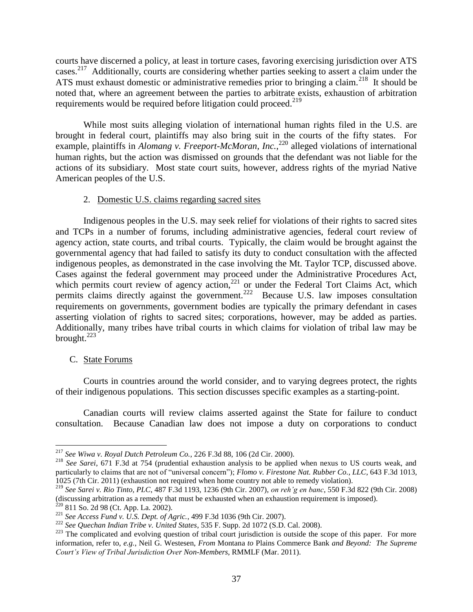courts have discerned a policy, at least in torture cases, favoring exercising jurisdiction over ATS cases.<sup>217</sup> Additionally, courts are considering whether parties seeking to assert a claim under the ATS must exhaust domestic or administrative remedies prior to bringing a claim.<sup>218</sup> It should be noted that, where an agreement between the parties to arbitrate exists, exhaustion of arbitration requirements would be required before litigation could proceed.<sup>219</sup>

While most suits alleging violation of international human rights filed in the U.S. are brought in federal court, plaintiffs may also bring suit in the courts of the fifty states. For example, plaintiffs in *Alomang v. Freeport-McMoran, Inc.*<sup>220</sup> alleged violations of international human rights, but the action was dismissed on grounds that the defendant was not liable for the actions of its subsidiary. Most state court suits, however, address rights of the myriad Native American peoples of the U.S.

### 2. Domestic U.S. claims regarding sacred sites

Indigenous peoples in the U.S. may seek relief for violations of their rights to sacred sites and TCPs in a number of forums, including administrative agencies, federal court review of agency action, state courts, and tribal courts. Typically, the claim would be brought against the governmental agency that had failed to satisfy its duty to conduct consultation with the affected indigenous peoples, as demonstrated in the case involving the Mt. Taylor TCP, discussed above. Cases against the federal government may proceed under the Administrative Procedures Act, which permits court review of agency action, $2^{21}$  or under the Federal Tort Claims Act, which permits claims directly against the government.<sup>222</sup> Because U.S. law imposes consultation requirements on governments, government bodies are typically the primary defendant in cases asserting violation of rights to sacred sites; corporations, however, may be added as parties. Additionally, many tribes have tribal courts in which claims for violation of tribal law may be brought. $^{223}$ 

## C. State Forums

 $\overline{a}$ 

Courts in countries around the world consider, and to varying degrees protect, the rights of their indigenous populations. This section discusses specific examples as a starting-point.

Canadian courts will review claims asserted against the State for failure to conduct consultation. Because Canadian law does not impose a duty on corporations to conduct

<sup>217</sup> *See Wiwa v. Royal Dutch Petroleum Co.*, 226 F.3d 88, 106 (2d Cir. 2000).

<sup>218</sup> *See Sarei*, 671 F.3d at 754 (prudential exhaustion analysis to be applied when nexus to US courts weak, and particularly to claims that are not of "universal concern"); *Flomo v. Firestone Nat. Rubber Co., LLC*, 643 F.3d 1013, 1025 (7th Cir. 2011) (exhaustion not required when home country not able to remedy violation).

<sup>219</sup> *See Sarei v. Rio Tinto, PLC*, 487 F.3d 1193, 1236 (9th Cir. 2007), *on reh'g en banc*, 550 F.3d 822 (9th Cir. 2008) (discussing arbitration as a remedy that must be exhausted when an exhaustion requirement is imposed).

 $220$  811 So. 2d 98 (Ct. App. La. 2002).

<sup>221</sup> *See Access Fund v. U.S. Dept. of Agric.*, 499 F.3d 1036 (9th Cir. 2007).

<sup>222</sup> *See Quechan Indian Tribe v. United States*, 535 F. Supp. 2d 1072 (S.D. Cal. 2008).

<sup>&</sup>lt;sup>223</sup> The complicated and evolving question of tribal court jurisdiction is outside the scope of this paper. For more information, refer to, *e.g.*, Neil G. Westesen, *From* Montana *to* Plains Commerce Bank *and Beyond: The Supreme Court's View of Tribal Jurisdiction Over Non-Members*, RMMLF (Mar. 2011).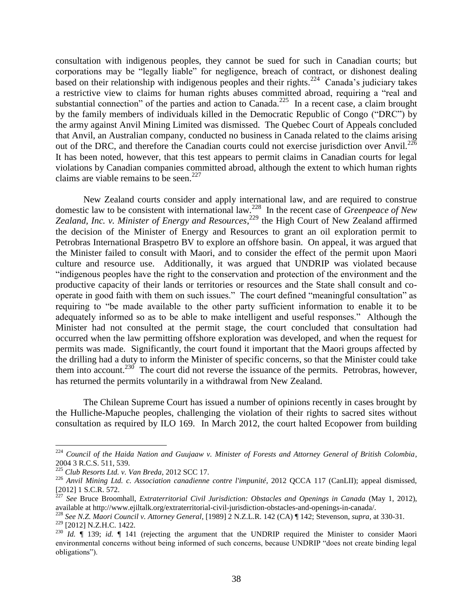consultation with indigenous peoples, they cannot be sued for such in Canadian courts; but corporations may be "legally liable" for negligence, breach of contract, or dishonest dealing based on their relationship with indigenous peoples and their rights.<sup>224</sup> Canada's judiciary takes a restrictive view to claims for human rights abuses committed abroad, requiring a "real and substantial connection" of the parties and action to Canada. $^{225}$  In a recent case, a claim brought by the family members of individuals killed in the Democratic Republic of Congo ("DRC") by the army against Anvil Mining Limited was dismissed. The Quebec Court of Appeals concluded that Anvil, an Australian company, conducted no business in Canada related to the claims arising out of the DRC, and therefore the Canadian courts could not exercise jurisdiction over Anvil.<sup>226</sup> It has been noted, however, that this test appears to permit claims in Canadian courts for legal violations by Canadian companies committed abroad, although the extent to which human rights claims are viable remains to be seen.<sup>227</sup>

New Zealand courts consider and apply international law, and are required to construe domestic law to be consistent with international law.<sup>228</sup> In the recent case of *Greenpeace of New*  Zealand, Inc. v. Minister of Energy and Resources,<sup>229</sup> the High Court of New Zealand affirmed the decision of the Minister of Energy and Resources to grant an oil exploration permit to Petrobras International Braspetro BV to explore an offshore basin. On appeal, it was argued that the Minister failed to consult with Maori, and to consider the effect of the permit upon Maori culture and resource use. Additionally, it was argued that UNDRIP was violated because "indigenous peoples have the right to the conservation and protection of the environment and the productive capacity of their lands or territories or resources and the State shall consult and cooperate in good faith with them on such issues." The court defined "meaningful consultation" as requiring to "be made available to the other party sufficient information to enable it to be adequately informed so as to be able to make intelligent and useful responses." Although the Minister had not consulted at the permit stage, the court concluded that consultation had occurred when the law permitting offshore exploration was developed, and when the request for permits was made. Significantly, the court found it important that the Maori groups affected by the drilling had a duty to inform the Minister of specific concerns, so that the Minister could take them into account.<sup>230</sup> The court did not reverse the issuance of the permits. Petrobras, however, has returned the permits voluntarily in a withdrawal from New Zealand.

The Chilean Supreme Court has issued a number of opinions recently in cases brought by the Hulliche-Mapuche peoples, challenging the violation of their rights to sacred sites without consultation as required by ILO 169. In March 2012, the court halted Ecopower from building

<sup>224</sup> *Council of the Haida Nation and Guujaaw v. Minister of Forests and Attorney General of British Colombia*, 2004 3 R.C.S. 511, 539.

<sup>225</sup> *Club Resorts Ltd. v. Van Breda*, 2012 SCC 17.

<sup>226</sup> *Anvil Mining Ltd. c. Association canadienne contre l'impunité*, 2012 QCCA 117 (CanLII); appeal dismissed, [2012] 1 S.C.R. 572.

<sup>227</sup> *See* Bruce Broomhall, *Extraterritorial Civil Jurisdiction: Obstacles and Openings in Canada* (May 1, 2012), available at http://www.ejiltalk.org/extraterritorial-civil-jurisdiction-obstacles-and-openings-in-canada/.

<sup>228</sup> *See N.Z. Maori Council v. Attorney General*, [1989] 2 N.Z.L.R. 142 (CA) ¶ 142; Stevenson, *supra*, at 330-31.

<sup>229</sup> [2012] N.Z.H.C. 1422.

<sup>&</sup>lt;sup>230</sup> *Id.*  $\parallel$  139; *id.*  $\parallel$  141 (rejecting the argument that the UNDRIP required the Minister to consider Maori environmental concerns without being informed of such concerns, because UNDRIP "does not create binding legal obligations").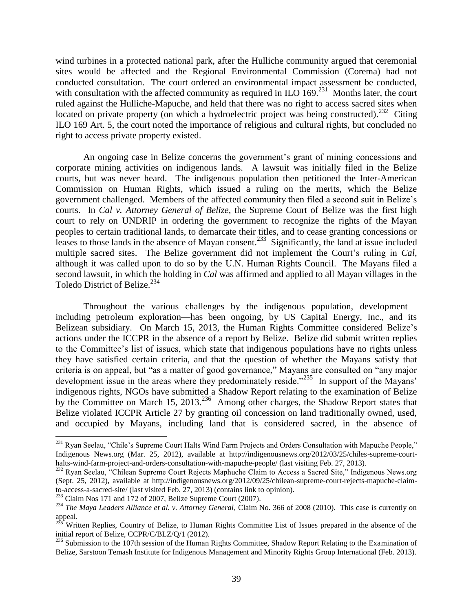wind turbines in a protected national park, after the Hulliche community argued that ceremonial sites would be affected and the Regional Environmental Commission (Corema) had not conducted consultation. The court ordered an environmental impact assessment be conducted, with consultation with the affected community as required in  $ILO$  169.<sup>231</sup> Months later, the court ruled against the Hulliche-Mapuche, and held that there was no right to access sacred sites when located on private property (on which a hydroelectric project was being constructed).<sup>232</sup> Citing ILO 169 Art. 5, the court noted the importance of religious and cultural rights, but concluded no right to access private property existed.

An ongoing case in Belize concerns the government's grant of mining concessions and corporate mining activities on indigenous lands. A lawsuit was initially filed in the Belize courts, but was never heard. The indigenous population then petitioned the Inter-American Commission on Human Rights, which issued a ruling on the merits, which the Belize government challenged. Members of the affected community then filed a second suit in Belize's courts. In *Cal v. Attorney General of Belize,* the Supreme Court of Belize was the first high court to rely on UNDRIP in ordering the government to recognize the rights of the Mayan peoples to certain traditional lands, to demarcate their titles, and to cease granting concessions or leases to those lands in the absence of Mayan consent.<sup>233</sup> Significantly, the land at issue included multiple sacred sites. The Belize government did not implement the Court's ruling in *Cal*, although it was called upon to do so by the U.N. Human Rights Council. The Mayans filed a second lawsuit, in which the holding in *Cal* was affirmed and applied to all Mayan villages in the Toledo District of Belize.<sup>234</sup>

Throughout the various challenges by the indigenous population, development including petroleum exploration—has been ongoing, by US Capital Energy, Inc., and its Belizean subsidiary. On March 15, 2013, the Human Rights Committee considered Belize's actions under the ICCPR in the absence of a report by Belize. Belize did submit written replies to the Committee's list of issues, which state that indigenous populations have no rights unless they have satisfied certain criteria, and that the question of whether the Mayans satisfy that criteria is on appeal, but "as a matter of good governance," Mayans are consulted on "any major development issue in the areas where they predominately reside."<sup>235</sup> In support of the Mayans' indigenous rights, NGOs have submitted a Shadow Report relating to the examination of Belize by the Committee on March 15, 2013.<sup>236</sup> Among other charges, the Shadow Report states that Belize violated ICCPR Article 27 by granting oil concession on land traditionally owned, used, and occupied by Mayans, including land that is considered sacred, in the absence of

<sup>&</sup>lt;sup>231</sup> Ryan Seelau, "Chile's Supreme Court Halts Wind Farm Projects and Orders Consultation with Mapuche People," Indigenous News.org (Mar. 25, 2012), available at http://indigenousnews.org/2012/03/25/chiles-supreme-courthalts-wind-farm-project-and-orders-consultation-with-mapuche-people/ (last visiting Feb. 27, 2013).

<sup>&</sup>lt;sup>232</sup> Ryan Seelau, "Chilean Supreme Court Rejects Maphuche Claim to Access a Sacred Site," Indigenous News.org (Sept. 25, 2012), available at http://indigenousnews.org/2012/09/25/chilean-supreme-court-rejects-mapuche-claimto-access-a-sacred-site/ (last visited Feb. 27, 2013) (contains link to opinion).

<sup>233</sup> Claim Nos 171 and 172 of 2007, Belize Supreme Court (2007).

<sup>234</sup> *The Maya Leaders Alliance et al. v. Attorney General*, Claim No. 366 of 2008 (2010). This case is currently on appeal.

<sup>&</sup>lt;sup>235</sup> Written Replies, Country of Belize, to Human Rights Committee List of Issues prepared in the absence of the initial report of Belize, CCPR/C/BLZ/Q/1 (2012).

<sup>&</sup>lt;sup>236</sup> Submission to the 107th session of the Human Rights Committee, Shadow Report Relating to the Examination of Belize, Sarstoon Temash Institute for Indigenous Management and Minority Rights Group International (Feb. 2013).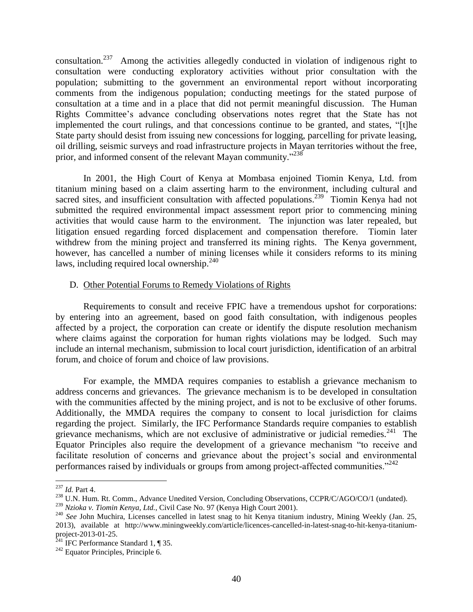consultation.<sup>237</sup> Among the activities allegedly conducted in violation of indigenous right to consultation were conducting exploratory activities without prior consultation with the population; submitting to the government an environmental report without incorporating comments from the indigenous population; conducting meetings for the stated purpose of consultation at a time and in a place that did not permit meaningful discussion. The Human Rights Committee's advance concluding observations notes regret that the State has not implemented the court rulings, and that concessions continue to be granted, and states, "[t]he State party should desist from issuing new concessions for logging, parcelling for private leasing, oil drilling, seismic surveys and road infrastructure projects in Mayan territories without the free, prior, and informed consent of the relevant Mayan community."<sup>238</sup>

In 2001, the High Court of Kenya at Mombasa enjoined Tiomin Kenya, Ltd. from titanium mining based on a claim asserting harm to the environment, including cultural and sacred sites, and insufficient consultation with affected populations.<sup>239</sup> Tiomin Kenya had not submitted the required environmental impact assessment report prior to commencing mining activities that would cause harm to the environment. The injunction was later repealed, but litigation ensued regarding forced displacement and compensation therefore. Tiomin later withdrew from the mining project and transferred its mining rights. The Kenya government, however, has cancelled a number of mining licenses while it considers reforms to its mining laws, including required local ownership.<sup>240</sup>

## D. Other Potential Forums to Remedy Violations of Rights

Requirements to consult and receive FPIC have a tremendous upshot for corporations: by entering into an agreement, based on good faith consultation, with indigenous peoples affected by a project, the corporation can create or identify the dispute resolution mechanism where claims against the corporation for human rights violations may be lodged. Such may include an internal mechanism, submission to local court jurisdiction, identification of an arbitral forum, and choice of forum and choice of law provisions.

For example, the MMDA requires companies to establish a grievance mechanism to address concerns and grievances. The grievance mechanism is to be developed in consultation with the communities affected by the mining project, and is not to be exclusive of other forums. Additionally, the MMDA requires the company to consent to local jurisdiction for claims regarding the project. Similarly, the IFC Performance Standards require companies to establish grievance mechanisms, which are not exclusive of administrative or judicial remedies. $^{241}$  The Equator Principles also require the development of a grievance mechanism "to receive and facilitate resolution of concerns and grievance about the project's social and environmental performances raised by individuals or groups from among project-affected communities."<sup>242</sup>

<sup>237</sup> *Id.* Part 4.

<sup>&</sup>lt;sup>238</sup> U.N. Hum. Rt. Comm., Advance Unedited Version, Concluding Observations, CCPR/C/AGO/CO/1 (undated).

<sup>239</sup> *Nzioka v. Tiomin Kenya, Ltd.*, Civil Case No. 97 (Kenya High Court 2001).

<sup>&</sup>lt;sup>240</sup> See John Muchira, Licenses cancelled in latest snag to hit Kenya titanium industry, Mining Weekly (Jan. 25, 2013), available at http://www.miningweekly.com/article/licences-cancelled-in-latest-snag-to-hit-kenya-titaniumproject-2013-01-25.

 $^{241}$  IFC Performance Standard 1, ¶ 35.

 $^{242}$  Equator Principles, Principle 6.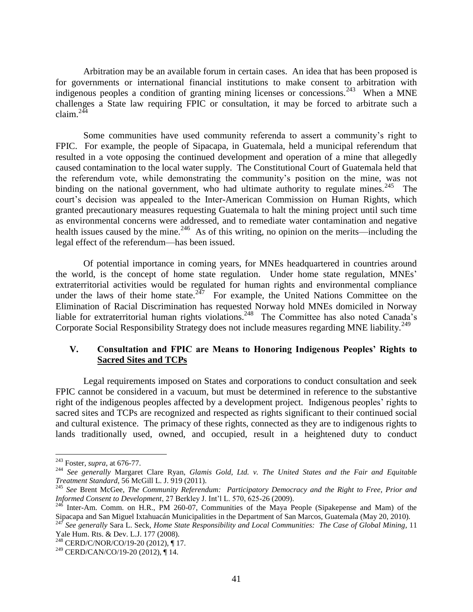Arbitration may be an available forum in certain cases. An idea that has been proposed is for governments or international financial institutions to make consent to arbitration with indigenous peoples a condition of granting mining licenses or concessions.<sup>243</sup> When a MNE challenges a State law requiring FPIC or consultation, it may be forced to arbitrate such a  $claim.$ <sup>244</sup>

Some communities have used community referenda to assert a community's right to FPIC. For example, the people of Sipacapa, in Guatemala, held a municipal referendum that resulted in a vote opposing the continued development and operation of a mine that allegedly caused contamination to the local water supply. The Constitutional Court of Guatemala held that the referendum vote, while demonstrating the community's position on the mine, was not binding on the national government, who had ultimate authority to regulate mines.<sup>245</sup> The court's decision was appealed to the Inter-American Commission on Human Rights, which granted precautionary measures requesting Guatemala to halt the mining project until such time as environmental concerns were addressed, and to remediate water contamination and negative health issues caused by the mine.<sup>246</sup> As of this writing, no opinion on the merits—including the legal effect of the referendum—has been issued.

Of potential importance in coming years, for MNEs headquartered in countries around the world, is the concept of home state regulation. Under home state regulation, MNEs' extraterritorial activities would be regulated for human rights and environmental compliance under the laws of their home state.<sup>247</sup> For example, the United Nations Committee on the Elimination of Racial Discrimination has requested Norway hold MNEs domiciled in Norway liable for extraterritorial human rights violations.<sup>248</sup> The Committee has also noted Canada's Corporate Social Responsibility Strategy does not include measures regarding MNE liability.<sup>249</sup>

## **V. Consultation and FPIC are Means to Honoring Indigenous Peoples' Rights to Sacred Sites and TCPs**

Legal requirements imposed on States and corporations to conduct consultation and seek FPIC cannot be considered in a vacuum, but must be determined in reference to the substantive right of the indigenous peoples affected by a development project. Indigenous peoples' rights to sacred sites and TCPs are recognized and respected as rights significant to their continued social and cultural existence. The primacy of these rights, connected as they are to indigenous rights to lands traditionally used, owned, and occupied, result in a heightened duty to conduct

<sup>243</sup> Foster, *supra*, at 676-77.

<sup>244</sup> *See generally* Margaret Clare Ryan, *Glamis Gold, Ltd. v. The United States and the Fair and Equitable Treatment Standard*, 56 McGill L. J. 919 (2011).

<sup>245</sup> *See* Brent McGee, *The Community Referendum: Participatory Democracy and the Right to Free, Prior and Informed Consent to Development*, 27 Berkley J. Int'l L. 570, 625-26 (2009).

 $^{246}$  Inter-Am. Comm. on H.R., PM 260-07, Communities of the Maya People (Sipakepense and Mam) of the Sipacapa and San Miguel Ixtahuacán Municipalities in the Department of San Marcos, Guatemala (May 20, 2010).

<sup>247</sup> *See generally* Sara L. Seck, *Home State Responsibility and Local Communities: The Case of Global Mining*, 11 Yale Hum. Rts. & Dev. L.J. 177 (2008).

<sup>&</sup>lt;sup>248</sup> CERD/C/NOR/CO/19-20 (2012), ¶ 17.

 $^{249}$  CERD/CAN/CO/19-20 (2012), ¶ 14.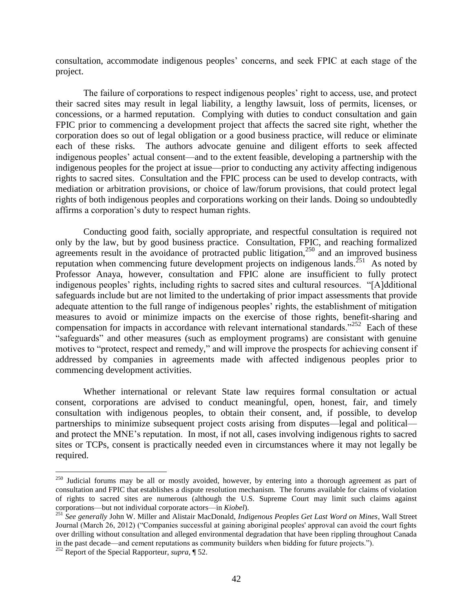consultation, accommodate indigenous peoples' concerns, and seek FPIC at each stage of the project.

The failure of corporations to respect indigenous peoples' right to access, use, and protect their sacred sites may result in legal liability, a lengthy lawsuit, loss of permits, licenses, or concessions, or a harmed reputation. Complying with duties to conduct consultation and gain FPIC prior to commencing a development project that affects the sacred site right, whether the corporation does so out of legal obligation or a good business practice, will reduce or eliminate each of these risks. The authors advocate genuine and diligent efforts to seek affected indigenous peoples' actual consent—and to the extent feasible, developing a partnership with the indigenous peoples for the project at issue—prior to conducting any activity affecting indigenous rights to sacred sites. Consultation and the FPIC process can be used to develop contracts, with mediation or arbitration provisions, or choice of law/forum provisions, that could protect legal rights of both indigenous peoples and corporations working on their lands. Doing so undoubtedly affirms a corporation's duty to respect human rights.

Conducting good faith, socially appropriate, and respectful consultation is required not only by the law, but by good business practice. Consultation, FPIC, and reaching formalized agreements result in the avoidance of protracted public litigation,<sup>250</sup> and an improved business reputation when commencing future development projects on indigenous lands.<sup>251</sup> As noted by Professor Anaya, however, consultation and FPIC alone are insufficient to fully protect indigenous peoples' rights, including rights to sacred sites and cultural resources. "[A]dditional safeguards include but are not limited to the undertaking of prior impact assessments that provide adequate attention to the full range of indigenous peoples' rights, the establishment of mitigation measures to avoid or minimize impacts on the exercise of those rights, benefit-sharing and compensation for impacts in accordance with relevant international standards."<sup>252</sup> Each of these "safeguards" and other measures (such as employment programs) are consistant with genuine motives to "protect, respect and remedy," and will improve the prospects for achieving consent if addressed by companies in agreements made with affected indigenous peoples prior to commencing development activities.

Whether international or relevant State law requires formal consultation or actual consent, corporations are advised to conduct meaningful, open, honest, fair, and timely consultation with indigenous peoples, to obtain their consent, and, if possible, to develop partnerships to minimize subsequent project costs arising from disputes—legal and political and protect the MNE's reputation. In most, if not all, cases involving indigenous rights to sacred sites or TCPs, consent is practically needed even in circumstances where it may not legally be required.

<sup>&</sup>lt;sup>250</sup> Judicial forums may be all or mostly avoided, however, by entering into a thorough agreement as part of consultation and FPIC that establishes a dispute resolution mechanism. The forums available for claims of violation of rights to sacred sites are numerous (although the U.S. Supreme Court may limit such claims against corporations—but not individual corporate actors—in *Kiobel*).

<sup>251</sup> *See generally* John W. Miller and Alistair MacDonald, *Indigenous Peoples Get Last Word on Mines*, Wall Street Journal (March 26, 2012) ("Companies successful at gaining aboriginal peoples' approval can avoid the court fights over drilling without consultation and alleged environmental degradation that have been rippling throughout Canada in the past decade—and cement reputations as community builders when bidding for future projects.").

<sup>252</sup> Report of the Special Rapporteur, *supra*, ¶ 52.